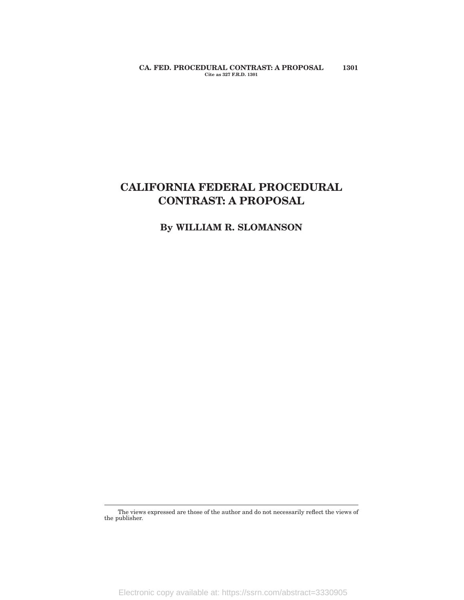**CA. FED. PROCEDURAL CONTRAST: A PROPOSAL 1301 Cite as 327 F.R.D. 1301**

# **CALIFORNIA FEDERAL PROCEDURAL CONTRAST: A PROPOSAL**

**By WILLIAM R. SLOMANSON**

The views expressed are those of the author and do not necessarily reflect the views of the publisher.

Electronic copy available at: https://ssrn.com/abstract=3330905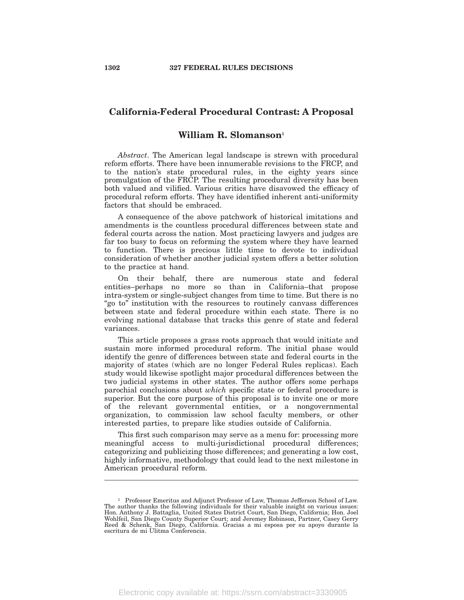# **California-Federal Procedural Contrast: A Proposal**

# **William R. Slomanson<sup>1</sup>**

*Abstract*. The American legal landscape is strewn with procedural reform efforts. There have been innumerable revisions to the FRCP, and to the nation's state procedural rules, in the eighty years since promulgation of the FRCP. The resulting procedural diversity has been both valued and vilified. Various critics have disavowed the efficacy of procedural reform efforts. They have identified inherent anti-uniformity factors that should be embraced.

A consequence of the above patchwork of historical imitations and amendments is the countless procedural differences between state and federal courts across the nation. Most practicing lawyers and judges are far too busy to focus on reforming the system where they have learned to function. There is precious little time to devote to individual consideration of whether another judicial system offers a better solution to the practice at hand.

On their behalf, there are numerous state and federal entities–perhaps no more so than in California–that propose intra-system or single-subject changes from time to time. But there is no "go to" institution with the resources to routinely canvass differences between state and federal procedure within each state. There is no evolving national database that tracks this genre of state and federal variances.

This article proposes a grass roots approach that would initiate and sustain more informed procedural reform. The initial phase would identify the genre of differences between state and federal courts in the majority of states (which are no longer Federal Rules replicas). Each study would likewise spotlight major procedural differences between the two judicial systems in other states. The author offers some perhaps parochial conclusions about *which* specific state or federal procedure is superior. But the core purpose of this proposal is to invite one or more of the relevant governmental entities, or a nongovernmental organization, to commission law school faculty members, or other interested parties, to prepare like studies outside of California.

This first such comparison may serve as a menu for: processing more meaningful access to multi-jurisdictional procedural differences; categorizing and publicizing those differences; and generating a low cost, highly informative, methodology that could lead to the next milestone in American procedural reform.

<sup>1</sup> Professor Emeritus and Adjunct Professor of Law, Thomas Jefferson School of Law. The author thanks the following individuals for their valuable insight on various issues: Hon. Anthony J. Battaglia, United States District Court, San Diego, California; Hon. Joel Wohlfeil, San Diego County Superior Court; and Jeremey Robinson, Partner, Casey Gerry Reed & Schenk, San Diego, California. Gracias a mi esposa por su apoyo durante la escritura de mi Ulitma Conferencia.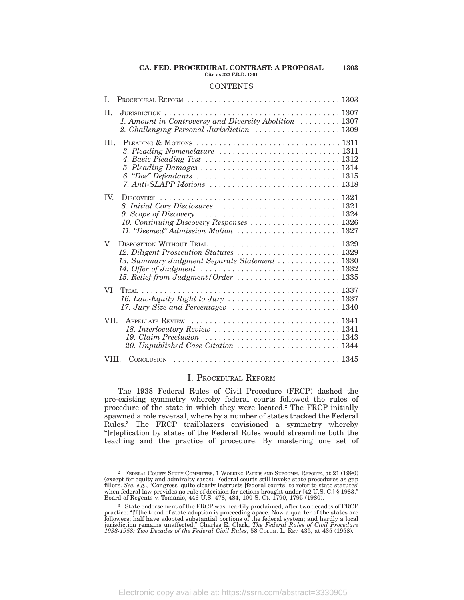#### **CA. FED. PROCEDURAL CONTRAST: A PROPOSAL 1303 Cite as 327 F.R.D. 1301**

### **CONTENTS**

| I.    |                                                                                                                                                                                                           |
|-------|-----------------------------------------------------------------------------------------------------------------------------------------------------------------------------------------------------------|
| II.   | 1. Amount in Controversy and Diversity Abolition  1307<br>2. Challenging Personal Jurisdiction  1309                                                                                                      |
| III.  | 3. Pleading Nomenclature  1311<br>4. Basic Pleading Test $\ldots \ldots \ldots \ldots \ldots \ldots \ldots \ldots \ldots \ldots 1312$                                                                     |
| TV.   | <b>DISCOVERY</b><br>9. Scope of Discovery $\ldots \ldots \ldots \ldots \ldots \ldots \ldots \ldots \ldots \ldots 1324$<br>10. Continuing Discovery Responses  1326<br>11. "Deemed" Admission Motion  1327 |
| V.    | 12. Diligent Prosecution Statutes  1329<br>13. Summary Judgment Separate Statement  1330<br>15. Relief from Judgment / Order  1335                                                                        |
| VI    |                                                                                                                                                                                                           |
| VII.  |                                                                                                                                                                                                           |
| VIII. |                                                                                                                                                                                                           |

### I. PROCEDURAL REFORM

The 1938 Federal Rules of Civil Procedure (FRCP) dashed the pre-existing symmetry whereby federal courts followed the rules of procedure of the state in which they were located.**<sup>2</sup>** The FRCP initially spawned a role reversal, where by a number of states tracked the Federal Rules.**<sup>3</sup>** The FRCP trailblazers envisioned a symmetry whereby ''[r]eplication by states of the Federal Rules would streamline both the teaching and the practice of procedure. By mastering one set of

<sup>2</sup> FEDERAL COURTS STUDY COMMITTEE, 1 WORKING PAPERS AND SUBCOMM. REPORTS, at 21 (1990) (except for equity and admiralty cases). Federal courts still invoke state procedures as gap fillers. *See, e.g.*, "Congress 'quite clearly instructs [federal courts] to refer to state statutes' when federal law provides no rule of decision for actions brought under [42 U.S. C.] § 1983.'' Board of Regents v. Tomanio, 446 U.S. 478, 484, 100 S. Ct. 1790, 1795 (1980).

<sup>3</sup> State endorsement of the FRCP was heartily proclaimed, after two decades of FRCP practice: "[T]he trend of state adoption is proceeding apace. Now a quarter of the states are followers; half have adopted substantial portions of the federal system; and hardly a local jurisdiction remains unaffected." Ch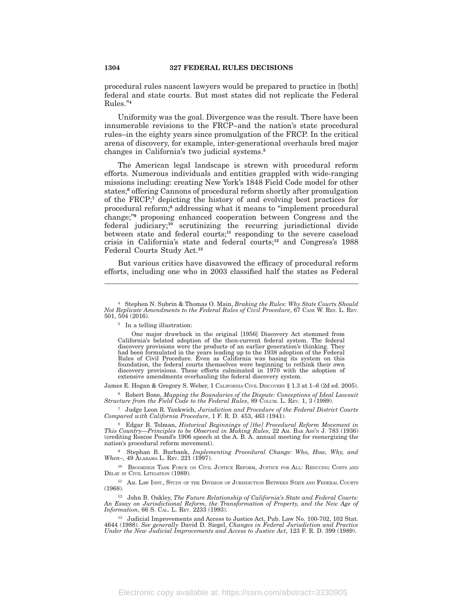procedural rules nascent lawyers would be prepared to practice in [both] federal and state courts. But most states did not replicate the Federal Rules.''**<sup>4</sup>**

Uniformity was the goal. Divergence was the result. There have been innumerable revisions to the FRCP–and the nation's state procedural rules–in the eighty years since promulgation of the FRCP. In the critical arena of discovery, for example, inter-generational overhauls bred major changes in California's two judicial systems.**<sup>5</sup>**

The American legal landscape is strewn with procedural reform efforts. Numerous individuals and entities grappled with wide-ranging missions including: creating New York's 1848 Field Code model for other states;**<sup>6</sup>** offering Cannons of procedural reform shortly after promulgation of the FRCP;**<sup>7</sup>** depicting the history of and evolving best practices for procedural reform;**<sup>8</sup>** addressing what it means to ''implement procedural change;''**<sup>9</sup>** proposing enhanced cooperation between Congress and the federal judiciary;**<sup>10</sup>** scrutinizing the recurring jurisdictional divide between state and federal courts;**<sup>11</sup>** responding to the severe caseload crisis in California's state and federal courts;**<sup>12</sup>** and Congress's 1988 Federal Courts Study Act.**<sup>13</sup>**

But various critics have disavowed the efficacy of procedural reform efforts, including one who in 2003 classified half the states as Federal

One major drawback in the original [1956] Discovery Act stemmed from California's belated adoption of the then-current federal system. The federal discovery provisions were the products of an earlier generation's thinking. They had been formulated in the years leading up to the 1938 adoption of the Federal Rules of Civil Procedure. Even as California was basing its system on this foundation, the federal courts themselves were beginning to rethink their own discovery provisions. These efforts culminated in 1970 with the adoption of extensive amendments overhauling the federal discovery system.

James E. Hogan & Gregory S. Weber, 1 CALIFORNIA CIVIL DISCOVERY § 1.3 at 1–6 (2d ed. 2005).

<sup>6</sup> Robert Bone, *Mapping the Boundaries of the Dispute: Conceptions of Ideal Lawsuit Structure from the Field Code to the Federal Rules*, 89 COLUM. L. REV. 1, 3 (1989).

<sup>7</sup> Judge Leon R. Yankwich, *Jurisdiction and Procedure of the Federal District Courts Compared with California Procedure*, 1 F. R. D. 453, 463 (1941).

<sup>8</sup> Edgar B. Tolman, *Historical Beginnings of [the] Procedural Reform Movement in This Country—Principles to be Observed in Making Rules*, 22 Am. BAR Ass'n J. 783 (1936) (crediting Roscoe Pound's 1906 speech at the A. B. A. annual meeting for reenergizing the nation's procedural reform movement).

<sup>9</sup> Stephan B. Burbank, *Implementing Procedural Change: Who, How, Why, and When–,* 49 ALABAMA L. REV. 221 (1997).

<sup>10</sup> BROOKINGS TASK FORCE ON CIVIL JUSTICE REFORM, JUSTICE FOR ALL: REDUCING COSTS AND DELAY IN CIVIL LITIGATION (1989).

<sup>11</sup> AM. LAW INST., STUDY OF THE DIVISION OF JURISDICTION BETWEEN STATE AND FEDERAL COURTS (1968).

<sup>12</sup> John B. Oakley, *The Future Relationship of California's State and Federal Courts: An Essay on Jurisdictional Reform, the Transformation of Property, and the New Age of Information*, 66 S. CAL. L. REV. 2233 (1993).

<sup>13</sup> Judicial Improvements and Access to Justice Act, Pub. Law No. 100-702, 102 Stat. 4644 (1988). *See generally* David D. Siegel, *Changes in Federal Jurisdiction and Practice Under the New Judicial Improvements and Access to Justice Act*, 123 F. R. D. 399 (1989).

<sup>4</sup> Stephen N. Subrin & Thomas O. Main, *Braking the Rules: Why State Courts Should Not Replicate Amendments to the Federal Rules of Civil Procedure*, 67 CASE W. RES. L. REV. 501, 504 (2016).

<sup>5</sup> In a telling illustration: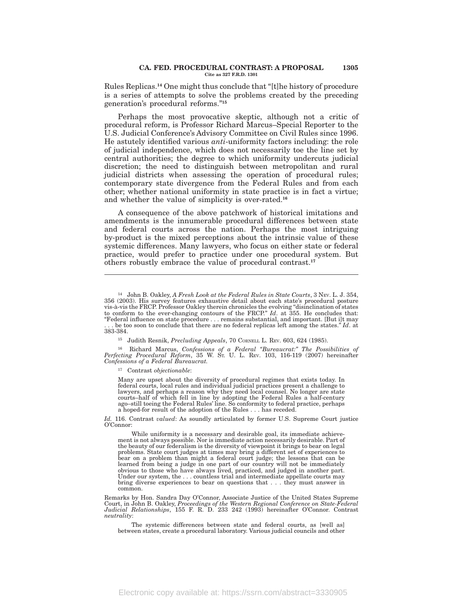#### **CA. FED. PROCEDURAL CONTRAST: A PROPOSAL 1305 Cite as 327 F.R.D. 1301**

Rules Replicas.**<sup>14</sup>** One might thus conclude that ''[t]he history of procedure is a series of attempts to solve the problems created by the preceding generation's procedural reforms.''**<sup>15</sup>**

Perhaps the most provocative skeptic, although not a critic of procedural reform, is Professor Richard Marcus–Special Reporter to the U.S. Judicial Conference's Advisory Committee on Civil Rules since 1996. He astutely identified various *anti*-uniformity factors including: the role of judicial independence, which does not necessarily toe the line set by central authorities; the degree to which uniformity undercuts judicial discretion; the need to distinguish between metropolitan and rural judicial districts when assessing the operation of procedural rules; contemporary state divergence from the Federal Rules and from each other; whether national uniformity in state practice is in fact a virtue; and whether the value of simplicity is over-rated.**<sup>16</sup>**

A consequence of the above patchwork of historical imitations and amendments is the innumerable procedural differences between state and federal courts across the nation. Perhaps the most intriguing by-product is the mixed perceptions about the intrinsic value of these systemic differences. Many lawyers, who focus on either state or federal practice, would prefer to practice under one procedural system. But others robustly embrace the value of procedural contrast.**<sup>17</sup>**

<sup>16</sup> Richard Marcus, *Confessions of a Federal ''Bureaucrat:'' The Possibilities of Perfecting Procedural Reform*, 35 W. ST. U. L. REV. 103, 116-119 (2007) hereinafter *Confessions of a Federal Bureaucrat.*

<sup>17</sup> Contrast *objectionable*:

Many are upset about the diversity of procedural regimes that exists today. In federal courts, local rules and individual judicial practices present a challenge to lawyers, and perhaps a reason why they need local counsel. No longer are state courts–half of which fell in line by adopting the Federal Rules a half-century ago–still toeing the Federal Rules' line. So conformity to federal practice, perhaps a hoped-for result of the adoption of the Rules . . . has receded.

*Id.* 116. Contrast *valued*: As soundly articulated by former U.S. Supreme Court justice O'Connor:

While uniformity is a necessary and desirable goal, its immediate achievement is not always possible. Nor is immediate action necessarily desirable. Part of the beauty of our federalism is the diversity of viewpoint it brings to bear on legal problems. State court judges at times may bring a different set of experiences to bear on a problem than might a federal court judge; the lessons that can be learned from being a judge in one part of our country will not be immediately obvious to those who have always lived, practiced, and judged in another part. Under our system, the . . . countless trial and intermediate appellate courts may bring diverse experiences to bear on questions that . . . they must answer in common.

Remarks by Hon. Sandra Day O'Connor, Associate Justice of the United States Supreme Court, in John B. Oakley, *Proceedings of the Western Regional Conference on State-Federal Judicial Relationships*, 155 F. R. D. 233 242 (1993) hereinafter O'Connor. Contrast *neutrality*:

The systemic differences between state and federal courts, as [well as] between states, create a procedural laboratory. Various judicial councils and other

<sup>14</sup> John B. Oakley, *A Fresh Look at the Federal Rules in State Courts*, 3 NEV. L. J. 354, 356 (2003). His survey features exhaustive detail about each state's procedural posture vis-à-vis the FRCP. Professor Oakley therein chronicles the evolving ''disinclination of states to conform to the ever-changing contours of the FRCP.'' *Id*. at 355. He concludes that: ''Federal influence on state procedure . . . remains substantial, and important. [But i]t may . be too soon to conclude that there are no federal replicas left among the states." *Id.* at 383-384.

<sup>15</sup> Judith Resnik, *Precluding Appeals*, 70 CORNELL L. REV. 603, 624 (1985).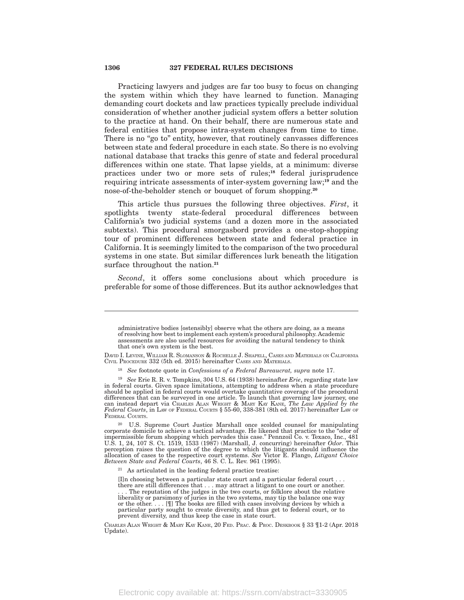Practicing lawyers and judges are far too busy to focus on changing the system within which they have learned to function. Managing demanding court dockets and law practices typically preclude individual consideration of whether another judicial system offers a better solution to the practice at hand. On their behalf, there are numerous state and federal entities that propose intra-system changes from time to time. There is no "go to" entity, however, that routinely canvasses differences between state and federal procedure in each state. So there is no evolving national database that tracks this genre of state and federal procedural differences within one state. That lapse yields, at a minimum: diverse practices under two or more sets of rules;**<sup>18</sup>** federal jurisprudence requiring intricate assessments of inter-system governing law;**<sup>19</sup>** and the nose-of-the-beholder stench or bouquet of forum shopping.**<sup>20</sup>**

This article thus pursues the following three objectives. *First*, it spotlights twenty state-federal procedural differences between California's two judicial systems (and a dozen more in the associated subtexts). This procedural smorgasbord provides a one-stop-shopping tour of prominent differences between state and federal practice in California. It is seemingly limited to the comparison of the two procedural systems in one state. But similar differences lurk beneath the litigation surface throughout the nation.**<sup>21</sup>**

*Second*, it offers some conclusions about which procedure is preferable for some of those differences. But its author acknowledges that

<sup>21</sup> As articulated in the leading federal practice treatise:

[I]n choosing between a particular state court and a particular federal court . . . there are still differences that . . . may attract a litigant to one court or another. The reputation of the judges in the two courts, or folklore about the relative liberality or parsimony of juries in the two systems, may tip the balance one way or the other. . . . [I] The books are filled with cases involving devices by which a

particular party sought to create diversity, and thus get to federal court, or to prevent diversity, and thus keep the case in state court.

administrative bodies [ostensibly] observe what the others are doing, as a means of resolving how best to implement each system's procedural philosophy. Academic assessments are also useful resources for avoiding the natural tendency to think that one's own system is the best.

DAVID I. LEVINE, WILLIAM R. SLOMANSON & ROCHELLE J. SHAPELL, CASES AND MATERIALS ON CALIFORNIA CIVIL PROCEDURE 332 (5th ed. 2015) hereinafter CASES AND MATERIALS.

<sup>18</sup> *See* footnote quote in *Confessions of a Federal Bureaucrat, supra* note 17.

<sup>19</sup> *See* Erie R. R. v. Tompkins, 304 U.S. 64 (1938) hereinafter *Erie*, regarding state law in federal courts. Given space limitations, attempting to address when a state procedure should be applied in federal courts would overtake quantitative coverage of the procedural differences that can be surveyed in one article. To launch that governing law journey, one can instead depart via CHARLES ALAN WRIGHT & MARY KAY KANE, *The Law Applied by the* Federal Courts, in LAW OF FEDERAL COURTS § 55-60, 338-381 (8th ed. 2017) hereinafter LAW OF FEDERAL COURTS.

<sup>&</sup>lt;sup>20</sup> U.S. Supreme Court Justice Marshall once scolded counsel for manipulating corporate domicile to achieve a tactical advantage. He likened that practice to the "odor of impermissible forum shopping which pervades this case.'' Pennzoil Co. v. Texaco, Inc., 481 U.S. 1, 24, 107 S. Ct. 1519, 1533 (1987) (Marshall, J. concurring) hereinafter *Odor*. This perception raises the question of the degree to which the litigants should influence the allocation of cases to the respective court systems. *See* Victor E. Flango, *Litigant Choice Between State and Federal Courts*, 46 S. C. L. Rev. 961 (1995).

CHARLES ALAN WRIGHT & MARY KAY KANE, 20 FED. PRAC. & PROC. DESKBOOK § 33 ¶1-2 (Apr. 2018 Update).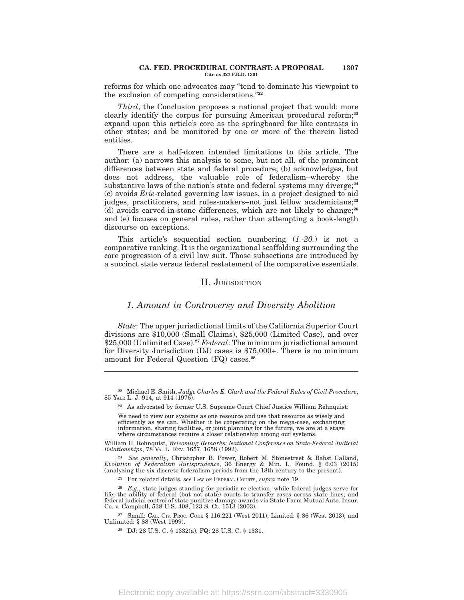#### **CA. FED. PROCEDURAL CONTRAST: A PROPOSAL 1307 Cite as 327 F.R.D. 1301**

reforms for which one advocates may ''tend to dominate his viewpoint to the exclusion of competing considerations.''**<sup>22</sup>**

*Third*, the Conclusion proposes a national project that would: more clearly identify the corpus for pursuing American procedural reform;**<sup>23</sup>** expand upon this article's core as the springboard for like contrasts in other states; and be monitored by one or more of the therein listed entities.

There are a half-dozen intended limitations to this article. The author: (a) narrows this analysis to some, but not all, of the prominent differences between state and federal procedure; (b) acknowledges, but does not address, the valuable role of federalism–whereby the substantive laws of the nation's state and federal systems may diverge;**<sup>24</sup>** (c) avoids *Erie*-related governing law issues, in a project designed to aid judges, practitioners, and rules-makers–not just fellow academicians;**<sup>25</sup>** (d) avoids carved-in-stone differences, which are not likely to change;**<sup>26</sup>** and (e) focuses on general rules, rather than attempting a book-length discourse on exceptions.

This article's sequential section numbering (*1.-20.*) is not a comparative ranking. It is the organizational scaffolding surrounding the core progression of a civil law suit. Those subsections are introduced by a succinct state versus federal restatement of the comparative essentials.

### II. JURISDICTION

### *1. Amount in Controversy and Diversity Abolition*

*State*: The upper jurisdictional limits of the California Superior Court divisions are \$10,000 (Small Claims), \$25,000 (Limited Case), and over \$25,000 (Unlimited Case).**<sup>27</sup>** *Federal*: The minimum jurisdictional amount for Diversity Jurisdiction (DJ) cases is \$75,000+. There is no minimum amount for Federal Question (FQ) cases.**<sup>28</sup>**

William H. Rehnquist, *Welcoming Remarks: National Conference on State-Federal Judicial Relationships*, 78 VA. L. REV. 1657, 1658 (1992).

<sup>25</sup> For related details, *see* LAW OF FEDERAL COURTS, *supra* note 19.

<sup>27</sup> Small: CAL. CIV. PROC. CODE § 116.221 (West 2011); Limited: § 86 (West 2013); and Unlimited: § 88 (West 1999).

<sup>22</sup> Michael E. Smith, *Judge Charles E. Clark and the Federal Rules of Civil Procedure*, 85 YALE L. J. 914, at 914 (1976).

<sup>23</sup> As advocated by former U.S. Supreme Court Chief Justice William Rehnquist:

We need to view our systems as one resource and use that resource as wisely and efficiently as we can. Whether it be cooperating on the mega-case, exchanging information, sharing facilities, or joint planning for the future, we are at a stage where circumstances require a closer relationship among our systems.

<sup>24</sup> *See generally*, Christopher B. Power, Robert M. Stonestreet & Babst Calland, *Evolution of Federalism Jurisprudence*, 36 Energy & Min. L. Found. § 6.03 (2015) (analyzing the six discrete federalism periods from the 18th century to the present).

<sup>26</sup> *E.g.*, state judges standing for periodic re-election, while federal judges serve for life; the ability of federal (but not state) courts to transfer cases across state lines; and federal judicial control of state punitive damage awards via State Farm Mutual Auto. Insur. Co. v. Campbell, 538 U.S. 408, 123 S. Ct. 1513 (2003).

<sup>28</sup> DJ: 28 U.S. C. § 1332(a). FQ: 28 U.S. C. § 1331.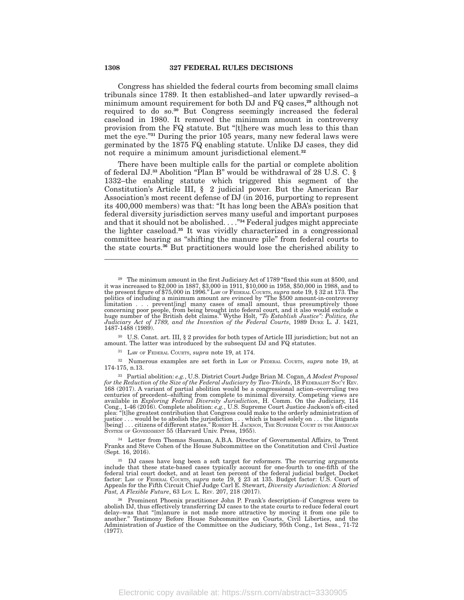Congress has shielded the federal courts from becoming small claims tribunals since 1789. It then established–and later upwardly revised–a minimum amount requirement for both DJ and FQ cases,**<sup>29</sup>** although not required to do so.**<sup>30</sup>** But Congress seemingly increased the federal caseload in 1980. It removed the minimum amount in controversy provision from the FQ statute. But "[t]here was much less to this than met the eye.''**<sup>31</sup>** During the prior 105 years, many new federal laws were germinated by the 1875 FQ enabling statute. Unlike DJ cases, they did not require a minimum amount jurisdictional element.**<sup>32</sup>**

There have been multiple calls for the partial or complete abolition of federal DJ.**<sup>33</sup>** Abolition ''Plan B'' would be withdrawal of 28 U.S. C. § 1332–the enabling statute which triggered this segment of the Constitution's Article III, § 2 judicial power. But the American Bar Association's most recent defense of DJ (in 2016, purporting to represent its 400,000 members) was that: ''It has long been the ABA's position that federal diversity jurisdiction serves many useful and important purposes and that it should not be abolished. . . .''**<sup>34</sup>** Federal judges might appreciate the lighter caseload.**<sup>35</sup>** It was vividly characterized in a congressional committee hearing as ''shifting the manure pile'' from federal courts to the state courts.**<sup>36</sup>** But practitioners would lose the cherished ability to

<sup>30</sup> U.S. Const. art. III, § 2 provides for both types of Article III jurisdiction; but not an amount. The latter was introduced by the subsequent DJ and FQ statutes.

<sup>31</sup> LAW OF FEDERAL COURTS, *supra* note 19, at 174.

<sup>32</sup> Numerous examples are set forth in LAW OF FEDERAL COURTS, *supra* note 19, at 174-175, n.13.

<sup>33</sup> Partial abolition: *e.g.*, U.S. District Court Judge Brian M. Cogan, *A Modest Proposal for the Reduction of the Size of the Federal Judiciary by Two-Thirds*, 18 FEDERALIST SOC'<sup>Y</sup> REV. 168 (2017). A variant of partial abolition would be a congressional action–overruling two<br>centuries of precedent–shifting from complete to minimal diversity. Competing views are<br>available in *Exploring Federal Diversity Ju* Cong., 1-46 (2016). Complete abolition: *e.g.*, U.S. Supreme Court Justice Jackson's oft-cited<br>plea: "[t]he greatest contribution that Congress could make to the orderly administration of justice . . . would be to abolish the jurisdiction . . . which is based solely on . . . the litigants<br>[being] . . . citizens of different states." ROBERT H. JACKSON, THE SUPREME COURT IN THE AMERICAN<br>SYSTEM OF GOVERNMENT

<sup>34</sup> Letter from Thomas Susman, A.B.A. Director of Governmental Affairs, to Trent Franks and Steve Cohen of the House Subcommittee on the Constitution and Civil Justice (Sept. 16, 2016).

<sup>35</sup> DJ cases have long been a soft target for reformers. The recurring arguments include that these state-based cases typically account for one-fourth to one-fifth of the federal trial court docket, and at least ten percent of the federal judicial budget. Docket factor: LAW OF FEDERAL COURTS, *supra* note 19, § 23 at 135. Budget factor: U.S. Court of Appeals for the Fifth Circuit Chief Judge Carl E. Stewart, *Diversity Jurisdiction: A Storied Past, A Flexible Future*, 63 LOY. L. REV. 207, 218 (2017).

<sup>36</sup> Prominent Phoenix practitioner John P. Frank's description–if Congress were to abolish DJ, thus effectively transferring DJ cases to the state courts to reduce federal court delay–was that ''[m]anure is not made more attractive by moving it from one pile to another.'' Testimony Before House Subcommittee on Courts, Civil Liberties, and the Administration of Justice of the Committee on the Judiciary, 95th Cong., 1st Sess., 71-72 (1977).

<sup>&</sup>lt;sup>29</sup> The minimum amount in the first Judiciary Act of 1789 "fixed this sum at \$500, and it was increased to \$2,000 in 1887, \$3,000 in 1911, \$10,000 in 1958, \$50,000 in 1988, and to<br>the present figure of \$75,000 in 1996." Law or FEDERAL COURTS, supra note 19, § 32 at 173. The<br>politics of including a minimum am limitation . . . prevent[ing] many cases of small amount, thus presumptively those concerning poor people, from being brought into federal court, and it also would exclude a huge number of the British debt claims." Wythe H 1487-1488 (1989).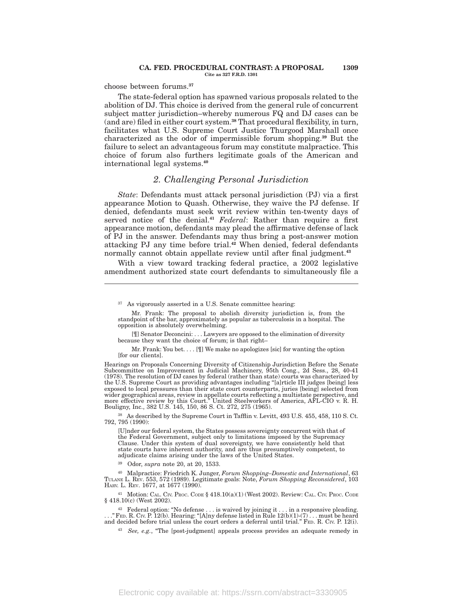#### **CA. FED. PROCEDURAL CONTRAST: A PROPOSAL 1309 Cite as 327 F.R.D. 1301**

choose between forums.**<sup>37</sup>**

The state-federal option has spawned various proposals related to the abolition of DJ. This choice is derived from the general rule of concurrent subject matter jurisdiction–whereby numerous FQ and DJ cases can be (and are) filed in either court system.**<sup>38</sup>** That procedural flexibility, in turn, facilitates what U.S. Supreme Court Justice Thurgood Marshall once characterized as the odor of impermissible forum shopping.**<sup>39</sup>** But the failure to select an advantageous forum may constitute malpractice. This choice of forum also furthers legitimate goals of the American and international legal systems.**<sup>40</sup>**

# *2. Challenging Personal Jurisdiction*

*State*: Defendants must attack personal jurisdiction (PJ) via a first appearance Motion to Quash. Otherwise, they waive the PJ defense. If denied, defendants must seek writ review within ten-twenty days of served notice of the denial.**<sup>41</sup>** *Federal*: Rather than require a first appearance motion, defendants may plead the affirmative defense of lack of PJ in the answer. Defendants may thus bring a post-answer motion attacking PJ any time before trial.**<sup>42</sup>** When denied, federal defendants normally cannot obtain appellate review until after final judgment.**<sup>43</sup>**

With a view toward tracking federal practice, a 2002 legislative amendment authorized state court defendants to simultaneously file a

Mr. Frank: You bet. . . . [¶] We make no apologizes [sic] for wanting the option [for our clients].

Hearings on Proposals Concerning Diversity of Citizenship Jurisdiction Before the Senate Subcommittee on Improvement in Judicial Machinery, 95th Cong., 2d Sess., 28, 40-41 (1978). The resolution of DJ cases by federal (rather than state) courts was characterized by the U.S. Supreme Court as providing advantages including ''[a]rticle III judges [being] less exposed to local pressures than their state court counterparts, juries [being] selected from wider geographical areas, review in appellate courts reflecting a multistate perspective, and more effective review by this Court.'' United Steelworkers of America, AFL-CIO v. R. H. Bouligny, Inc., 382 U.S. 145, 150, 86 S. Ct. 272, 275 (1965).

<sup>38</sup> As described by the Supreme Court in Tafflin v. Levitt, 493 U.S. 455, 458, 110 S. Ct. 792, 795 (1990):

[U]nder our federal system, the States possess sovereignty concurrent with that of the Federal Government, subject only to limitations imposed by the Supremacy Clause. Under this system of dual sovereignty, we have consistently held that state courts have inherent authority, and are thus presumptively competent, to adjudicate claims arising under the laws of the United States.

<sup>39</sup> Odor, *supra* note 20, at 20, 1533.

<sup>40</sup> Malpractice: Friedrich K. Junger, *Forum Shopping–Domestic and International*, 63 TULANE L. REV. 553, 572 (1989). Legitimate goals: Note, *Forum Shopping Reconsidered*, 103 HARV. L. REV. 1677, at 1677 (1990).

<sup>41</sup> Motion: CAL. CIV. PROC. CODE § 418.10(a)(1) (West 2002). Review: CAL. CIV. PROC. CODE § 418.10(c) (West 2002).

<sup>42</sup> Federal option: "No defense  $\dots$  is waived by joining it  $\dots$  in a responsive pleading. . . .'' FED. R. CIV. P. 12(b). Hearing: ''[A]ny defense listed in Rule 12(b)(1)-(7) . . . must be heard and decided before trial unless the court orders a deferral until trial.'' FED. R. CIV. P. 12(i).

<sup>43</sup> *See, e.g.*, "The [post-judgment] appeals process provides an adequate remedy in

<sup>37</sup> As vigorously asserted in a U.S. Senate committee hearing:

Mr. Frank: The proposal to abolish diversity jurisdiction is, from the standpoint of the bar, approximately as popular as tuberculosis in a hospital. The opposition is absolutely overwhelming.

<sup>[¶]</sup> Senator Deconcini: . . . Lawyers are opposed to the elimination of diversity because they want the choice of forum; is that right–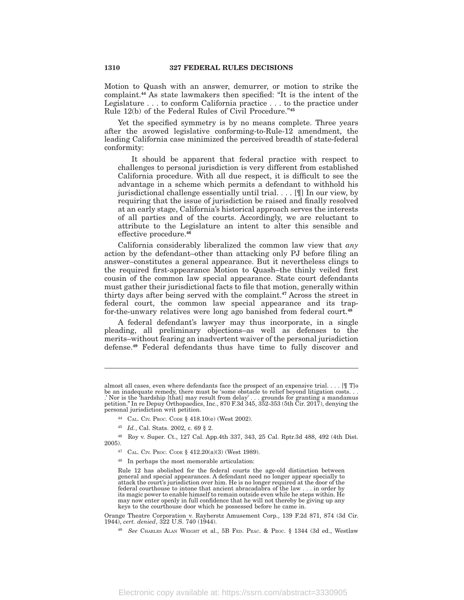Motion to Quash with an answer, demurrer, or motion to strike the complaint.**<sup>44</sup>** As state lawmakers then specified: ''It is the intent of the Legislature . . . to conform California practice . . . to the practice under Rule 12(b) of the Federal Rules of Civil Procedure.''**<sup>45</sup>**

Yet the specified symmetry is by no means complete. Three years after the avowed legislative conforming-to-Rule-12 amendment, the leading California case minimized the perceived breadth of state-federal conformity:

It should be apparent that federal practice with respect to challenges to personal jurisdiction is very different from established California procedure. With all due respect, it is difficult to see the advantage in a scheme which permits a defendant to withhold his jurisdictional challenge essentially until trial. . . . [¶] In our view, by requiring that the issue of jurisdiction be raised and finally resolved at an early stage, California's historical approach serves the interests of all parties and of the courts. Accordingly, we are reluctant to attribute to the Legislature an intent to alter this sensible and effective procedure.**<sup>46</sup>**

California considerably liberalized the common law view that *any* action by the defendant–other than attacking only PJ before filing an answer–constitutes a general appearance. But it nevertheless clings to the required first-appearance Motion to Quash–the thinly veiled first cousin of the common law special appearance. State court defendants must gather their jurisdictional facts to file that motion, generally within thirty days after being served with the complaint.**<sup>47</sup>** Across the street in federal court, the common law special appearance and its trapfor-the-unwary relatives were long ago banished from federal court.**<sup>48</sup>**

A federal defendant's lawyer may thus incorporate, in a single pleading, all preliminary objections–as well as defenses to the merits–without fearing an inadvertent waiver of the personal jurisdiction defense.**<sup>49</sup>** Federal defendants thus have time to fully discover and

almost all cases, even where defendants face the prospect of an expensive trial.  $\dots$  [[[ T]o be an inadequate remedy, there must be 'some obstacle to relief beyond litigation costs. . . .' Nor is the 'hardship [that] may result from delay' . . . grounds for granting a mandamus petition.'' In re Depuy Orthopaedics, Inc., 870 F.3d 345, 352-353 (5th Cir. 2017), denying the personal jurisdiction writ petition.

<sup>44</sup> CAL. CIV. PROC. CODE § 418.10(e) (West 2002).

<sup>45</sup> *Id.*, Cal. Stats. 2002, c. 69 § 2.

<sup>46</sup> Roy v. Super. Ct., 127 Cal. App.4th 337, 343, 25 Cal. Rptr.3d 488, 492 (4th Dist. 2005).

<sup>47</sup> CAL. CIV. PROC. CODE § 412.20(a)(3) (West 1989).

<sup>48</sup> In perhaps the most memorable articulation:

Rule 12 has abolished for the federal courts the age-old distinction between general and special appearances. A defendant need no longer appear specially to attack the court's jurisdiction over him. He is no longer required at the door of the federal courthouse to intone that ancient abracadabra of the law . . . in order by its magic power to enable himself to remain outside even while he steps within. He may now enter openly in full confidence that he will not thereby be giving up any keys to the courthouse door which he possessed before he came in.

Orange Theatre Corporation v. Rayherstz Amusement Corp., 139 F.2d 871, 874 (3d Cir. 1944), *cert. denied*, 322 U.S. 740 (1944).

<sup>49</sup> *See* CHARLES ALAN WRIGHT et al., 5B FED. PRAC. & PROC. § 1344 (3d ed., Westlaw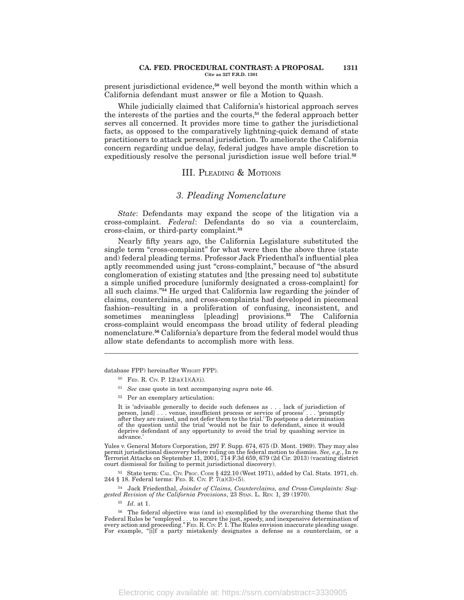#### **CA. FED. PROCEDURAL CONTRAST: A PROPOSAL 1311 Cite as 327 F.R.D. 1301**

present jurisdictional evidence,**<sup>50</sup>** well beyond the month within which a California defendant must answer or file a Motion to Quash.

While judicially claimed that California's historical approach serves the interests of the parties and the courts,**<sup>51</sup>** the federal approach better serves all concerned. It provides more time to gather the jurisdictional facts, as opposed to the comparatively lightning-quick demand of state practitioners to attack personal jurisdiction. To ameliorate the California concern regarding undue delay, federal judges have ample discretion to expeditiously resolve the personal jurisdiction issue well before trial.**<sup>52</sup>**

### III. PLEADING & MOTIONS

### *3. Pleading Nomenclature*

*State*: Defendants may expand the scope of the litigation via a cross-complaint. *Federal*: Defendants do so via a counterclaim, cross-claim, or third-party complaint.**<sup>53</sup>**

Nearly fifty years ago, the California Legislature substituted the single term "cross-complaint" for what were then the above three (state and) federal pleading terms. Professor Jack Friedenthal's influential plea aptly recommended using just "cross-complaint," because of "the absurd conglomeration of existing statutes and [the pressing need to] substitute a simple unified procedure [uniformly designated a cross-complaint] for all such claims.''**<sup>54</sup>** He urged that California law regarding the joinder of claims, counterclaims, and cross-complaints had developed in piecemeal fashion–resulting in a proliferation of confusing, inconsistent, and sometimes meaningless [pleading] provisions.**<sup>55</sup>** The California cross-complaint would encompass the broad utility of federal pleading nomenclature.**<sup>56</sup>** California's departure from the federal model would thus allow state defendants to accomplish more with less.

database FPP) hereinafter WRIGHT FPP).

- <sup>50</sup> FED. R. CIV. P. 12(a)(1)(A)(i).
- <sup>51</sup> *See* case quote in text accompanying *supra* note 46.
- <sup>52</sup> Per an exemplary articulation:

It is 'advisable generally to decide such defenses as . . . lack of jurisdiction of<br>person, [and] . . . venue, insufficient process or service of process' . . . 'promptly<br>after they are raised, and not defer them to the tr of the question until the trial 'would not be fair to defendant, since it would deprive defendant of any opportunity to avoid the trial by quashing service in advance.'

Yules v. General Motors Corporation, 297 F. Supp. 674, 675 (D. Mont. 1969). They may also permit jurisdictional discovery before ruling on the federal motion to dismiss. *See, e.g.*, In re Terrorist Attacks on September 11, 2001, 714 F.3d 659, 679 (2d Cir. 2013) (vacating district court dismissal for failing to permit jurisdictional discovery).

<sup>53</sup> State term: CAL. CIV. PROC. CODE § 422.10 (West 1971), added by Cal. Stats. 1971, ch. 244 § 18. Federal terms: FED. R. CIV. P. 7(a)(3)-(5).

<sup>54</sup> Jack Friedenthal, *Joinder of Claims, Counterclaims, and Cross-Complaints: Sug*gested Revision of the California Provisions, 23 STAN. L. REV. 1, 29 (1970).

<sup>55</sup> *Id*. at 1.

<sup>56</sup> The federal objective was (and is) exemplified by the overarching theme that the Federal Rules be "employed . . . to secure the just, speedy, and inexpensive determination of<br>every action and proceeding." FED. R. Cıv. P. 1. The Rules envision inaccurate pleading usage. For example, "[i]f a party mistakenly designates a defense as a counterclaim, or a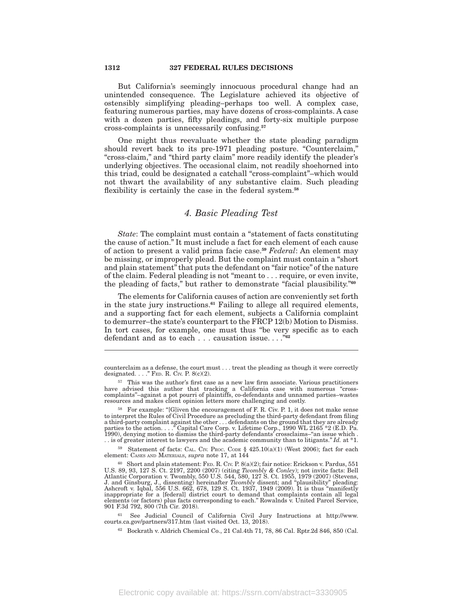But California's seemingly innocuous procedural change had an unintended consequence. The Legislature achieved its objective of ostensibly simplifying pleading–perhaps too well. A complex case, featuring numerous parties, may have dozens of cross-complaints. A case with a dozen parties, fifty pleadings, and forty-six multiple purpose cross-complaints is unnecessarily confusing.**<sup>57</sup>**

One might thus reevaluate whether the state pleading paradigm should revert back to its pre-1971 pleading posture. "Counterclaim," "cross-claim," and "third party claim" more readily identify the pleader's underlying objectives. The occasional claim, not readily shoehorned into this triad, could be designated a catchall "cross-complaint"–which would not thwart the availability of any substantive claim. Such pleading flexibility is certainly the case in the federal system.**<sup>58</sup>**

# *4. Basic Pleading Test*

*State*: The complaint must contain a "statement of facts constituting the cause of action.'' It must include a fact for each element of each cause of action to present a valid prima facie case.**<sup>59</sup>** *Federal*: An element may be missing, or improperly plead. But the complaint must contain a ''short and plain statement'' that puts the defendant on ''fair notice'' of the nature of the claim. Federal pleading is not ''meant to . . . require, or even invite, the pleading of facts,'' but rather to demonstrate ''facial plausibility.''**<sup>60</sup>**

The elements for California causes of action are conveniently set forth in the state jury instructions.**<sup>61</sup>** Failing to allege all required elements, and a supporting fact for each element, subjects a California complaint to demurrer–the state's counterpart to the FRCP 12(b) Motion to Dismiss. In tort cases, for example, one must thus "be very specific as to each defendant and as to each . . . causation issue. . . .''**<sup>62</sup>**

<sup>59</sup> Statement of facts: CAL. CIV. PROC. CODE § 425.10(a)(1) (West 2006); fact for each element: CASES AND MATERIALS, *supra* note 17, at 144

counterclaim as a defense, the court must . . . treat the pleading as though it were correctly designated.  $\ldots$ ." FED. R. CIV. P. 8(c)(2).

<sup>57</sup> This was the author's first case as a new law firm associate. Various practitioners have advised this author that tracking a California case with numerous ''cross-complaints''–against a pot pourri of plaintiffs, co-defendants and unnamed parties–wastes resources and makes client opinion letters more challenging and costly.

<sup>&</sup>lt;sup>58</sup> For example: "[G]iven the encouragement of F. R. Civ. P. 1, it does not make sense to interpret the Rules of Civil Procedure as precluding the third-party defendant from filing a third-party complaint against the other . . . defendants on the ground that they are already parties to the action. . . . "Capital Care Corp. v. Lifetime Corp., 1990 WL 2165 \*2 (E.D. Pa. 1990), denying motion to dismiss the third-party defendants' crossclaims–''an issue which . . . is of greater interest to lawyers and the academic community than to litigants.'' *Id.* at \*1.

<sup>&</sup>lt;sup>60</sup> Short and plain statement: FED. R. Crv. P. 8(a)(2); fair notice: Erickson v. Pardus, 551 U.S. 89, 93, 127 S. Ct. 2197, 2200 (2007) (citing *Twombly & Conley*); not invite facts: Bell Atlantic Corporation v. Twombly, inappropriate for a [federal] district court to demand that complaints contain all legal elements (or factors) plus facts corresponding to each.'' Rowalnds v. United Parcel Service, 901 F.3d 792, 800 (7th Cir. 2018).

<sup>61</sup> See Judicial Council of California Civil Jury Instructions at http://www. courts.ca.gov/partners/317.htm (last visited Oct. 13, 2018).

<sup>62</sup> Bockrath v. Aldrich Chemical Co., 21 Cal.4th 71, 78, 86 Cal. Rptr.2d 846, 850 (Cal.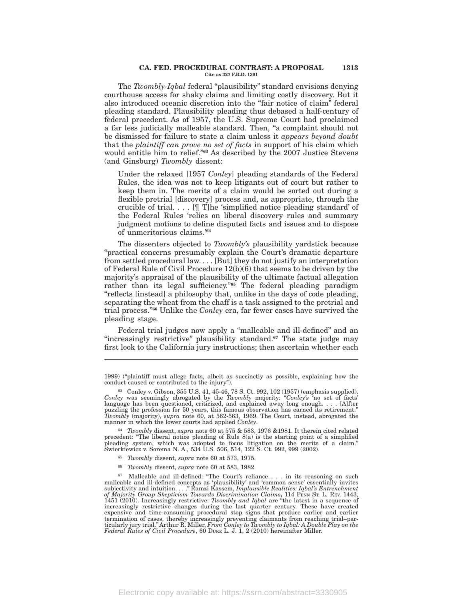#### **CA. FED. PROCEDURAL CONTRAST: A PROPOSAL 1313 Cite as 327 F.R.D. 1301**

The *Twombly-Iqbal* federal "plausibility" standard envisions denying courthouse access for shaky claims and limiting costly discovery. But it also introduced oceanic discretion into the "fair notice of claim" federal pleading standard. Plausibility pleading thus debased a half-century of federal precedent. As of 1957, the U.S. Supreme Court had proclaimed a far less judicially malleable standard. Then, "a complaint should not be dismissed for failure to state a claim unless it *appears beyond doubt* that the *plaintiff can prove no set of facts* in support of his claim which would entitle him to relief.''**<sup>63</sup>** As described by the 2007 Justice Stevens (and Ginsburg) *Twombly* dissent:

Under the relaxed [1957 *Conley*] pleading standards of the Federal Rules, the idea was not to keep litigants out of court but rather to keep them in. The merits of a claim would be sorted out during a flexible pretrial [discovery] process and, as appropriate, through the crucible of trial. . . . [¶ T]he 'simplified notice pleading standard' of the Federal Rules 'relies on liberal discovery rules and summary judgment motions to define disputed facts and issues and to dispose of unmeritorious claims.'**<sup>64</sup>**

The dissenters objected to *Twombly's* plausibility yardstick because ''practical concerns presumably explain the Court's dramatic departure from settled procedural law. . . . [But] they do not justify an interpretation of Federal Rule of Civil Procedure 12(b)(6) that seems to be driven by the majority's appraisal of the plausibility of the ultimate factual allegation rather than its legal sufficiency."<sup>65</sup> The federal pleading paradigm ''reflects [instead] a philosophy that, unlike in the days of code pleading, separating the wheat from the chaff is a task assigned to the pretrial and trial process.''**<sup>66</sup>** Unlike the *Conley* era, far fewer cases have survived the pleading stage.

Federal trial judges now apply a "malleable and ill-defined" and an "increasingly restrictive" plausibility standard.<sup>67</sup> The state judge may first look to the California jury instructions; then ascertain whether each

<sup>64</sup> *Twombly* dissent, *supra* note 60 at 575 & 583, 1976 &1981. It therein cited related precedent: ''The liberal notice pleading of Rule 8(a) is the starting point of a simplified pleading system, which was adopted to focus litigation on the merits of a claim.'' Swierkiewicz v. Sorema N. A.*,* 534 U.S. 506, 514, 122 S. Ct. 992, 999 (2002).

- <sup>65</sup> *Twombly* dissent, *supra* note 60 at 573, 1975.
- <sup>66</sup> *Twombly* dissent, *supra* note 60 at 583, 1982.

Malleable and ill-defined: "The Court's reliance . . . in its reasoning on such malleable and ill-defined concepts as 'plausibility' and 'common sense' essentially invites<br>subjectivity and intuition...." Ramzi Kassem, *Implausible Realities: Iqbal's Entrenchment*<br>of *Majority Group Skepticism Towards* expensive and time-consuming procedural stop signs that produce earlier and earlier termination of cases, thereby increasingly preventing claimants from reaching trial–par-ticularly jury trial.''Arthur R. Miller, *From Conley to Twombly to Iqbal: A Double Play on the Federal Rules of Civil Procedure*, 60 DUKE L. J. 1, 2 (2010) hereinafter Miller.

<sup>1999) (&#</sup>x27;'plaintiff must allege facts, albeit as succinctly as possible, explaining how the conduct caused or contributed to the injury'').

<sup>63</sup> Conley v. Gibson, 355 U.S. 41, 45-46, 78 S. Ct. 992, 102 (1957) (emphasis supplied). *Conley* was seemingly abrogated by the *Twombly* majority: ''*Conley's* 'no set of facts' language has been questioned, criticized, and explained away long enough. . . . [A]fter puzzling the profession for 50 years, this famous observation has earned its retirement.'' *Twombly* (majority), *supra* note 60, at 562-563, 1969. The Court, instead, abrogated the manner in which the lower courts had applied *Conley*.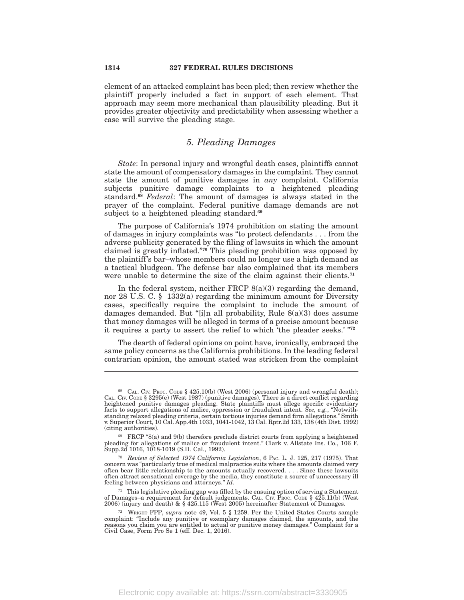element of an attacked complaint has been pled; then review whether the plaintiff properly included a fact in support of each element. That approach may seem more mechanical than plausibility pleading. But it provides greater objectivity and predictability when assessing whether a case will survive the pleading stage.

### *5. Pleading Damages*

*State*: In personal injury and wrongful death cases, plaintiffs cannot state the amount of compensatory damages in the complaint. They cannot state the amount of punitive damages in *any* complaint. California subjects punitive damage complaints to a heightened pleading standard.**<sup>68</sup>** *Federal*: The amount of damages is always stated in the prayer of the complaint. Federal punitive damage demands are not subject to a heightened pleading standard.**<sup>69</sup>**

The purpose of California's 1974 prohibition on stating the amount of damages in injury complaints was ''to protect defendants . . . from the adverse publicity generated by the filing of lawsuits in which the amount claimed is greatly inflated.''**<sup>70</sup>** This pleading prohibition was opposed by the plaintiff's bar–whose members could no longer use a high demand as a tactical bludgeon. The defense bar also complained that its members were unable to determine the size of the claim against their clients.**<sup>71</sup>**

In the federal system, neither FRCP  $8(a)(3)$  regarding the demand, nor 28 U.S. C. § 1332(a) regarding the minimum amount for Diversity cases, specifically require the complaint to include the amount of damages demanded. But "[i]n all probability, Rule  $8(a)(3)$  does assume that money damages will be alleged in terms of a precise amount because it requires a party to assert the relief to which 'the pleader seeks.' ''**<sup>72</sup>**

The dearth of federal opinions on point have, ironically, embraced the same policy concerns as the California prohibitions. In the leading federal contrarian opinion, the amount stated was stricken from the complaint

<sup>68</sup> CAL. CIV. PROC. CODE § 425.10(b) (West 2006) (personal injury and wrongful death); CAL. CIV. CODE § 3295(e) (West 1987) (punitive damages). There is a direct conflict regarding heightened punitive damages pleading. State plaintiffs must allege specific evidentiary facts to support allegations of malice, oppression or fraudulent intent. *See, e.g.*, ''Notwithstanding relaxed pleading criteria, certain tortious injuries demand firm allegations.'' Smith v. Superior Court, 10 Cal. App.4th 1033, 1041-1042, 13 Cal. Rptr.2d 133, 138 (4th Dist. 1992) (citing authorities).

<sup>69</sup> FRCP ''8(a) and 9(b) therefore preclude district courts from applying a heightened pleading for allegations of malice or fraudulent intent.'' Clark v. Allstate Ins. Co., 106 F. Supp.2d 1016, 1018-1019 (S.D. Cal., 1992).

<sup>70</sup> *Review of Selected 1974 California Legislation*, 6 PAC. L. J. 125, 217 (1975). That concern was ''particularly true of medical malpractice suits where the amounts claimed very often bear little relationship to the amounts actually recovered. . . . Since these lawsuits often attract sensational coverage by the media, they constitute a source of unnecessary ill feeling between physicians and attorneys.'' *Id*.

<sup>&</sup>lt;sup>71</sup> This legislative pleading gap was filled by the ensuing option of serving a Statement of Damages–a requirement for default judgements. CAL. CIV. Proc. Code § 425.11(b) (West 2006) (injury and death) & § 425.115 (West 2005) hereinafter Statement of Damages.

<sup>72</sup> WRIGHT FPP, *supra* note 49, Vol. 5 § 1259. Per the United States Courts sample complaint: ''Include any punitive or exemplary damages claimed, the amounts, and the reasons you claim you are entitled to actual or punitive money damages.'' Complaint for a Civil Case, Form Pro Se 1 (eff. Dec. 1, 2016).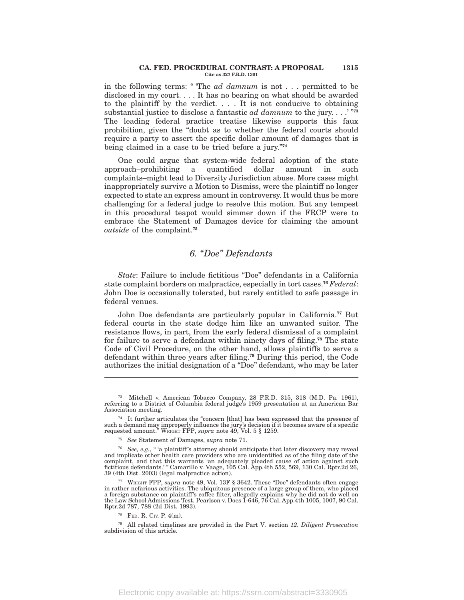#### **CA. FED. PROCEDURAL CONTRAST: A PROPOSAL 1315 Cite as 327 F.R.D. 1301**

in the following terms: '' 'The *ad damnum* is not . . . permitted to be disclosed in my court. . . . It has no bearing on what should be awarded to the plaintiff by the verdict. . . . It is not conducive to obtaining substantial justice to disclose a fantastic *ad damnum* to the jury. . . .' ''**<sup>73</sup>** The leading federal practice treatise likewise supports this faux prohibition, given the ''doubt as to whether the federal courts should require a party to assert the specific dollar amount of damages that is being claimed in a case to be tried before a jury.''**<sup>74</sup>**

One could argue that system-wide federal adoption of the state approach–prohibiting a quantified dollar amount in such complaints–might lead to Diversity Jurisdiction abuse. More cases might inappropriately survive a Motion to Dismiss, were the plaintiff no longer expected to state an express amount in controversy. It would thus be more challenging for a federal judge to resolve this motion. But any tempest in this procedural teapot would simmer down if the FRCP were to embrace the Statement of Damages device for claiming the amount *outside* of the complaint.**<sup>75</sup>**

### *6.* ''*Doe'' Defendants*

State: Failure to include fictitious "Doe" defendants in a California state complaint borders on malpractice, especially in tort cases.**<sup>76</sup>** *Federal*: John Doe is occasionally tolerated, but rarely entitled to safe passage in federal venues.

John Doe defendants are particularly popular in California.**<sup>77</sup>** But federal courts in the state dodge him like an unwanted suitor. The resistance flows, in part, from the early federal dismissal of a complaint for failure to serve a defendant within ninety days of filing.**<sup>78</sup>** The state Code of Civil Procedure, on the other hand, allows plaintiffs to serve a defendant within three years after filing.**<sup>79</sup>** During this period, the Code authorizes the initial designation of a ''Doe'' defendant, who may be later

<sup>73</sup> Mitchell v. American Tobacco Company, 28 F.R.D. 315, 318 (M.D. Pa. 1961), referring to a District of Columbia federal judge's 1959 presentation at an American Bar Association meeting.

 $^{74}\;$  It further articulates the "concern [that] has been expressed that the presence of such a demand may improperly influence the jury's decision if it becomes aware of a specific requested amount.'' WRIGHT FPP, *supra* note 49, Vol. 5 § 1259.

<sup>75</sup> *See* Statement of Damages, *supra* note 71.

<sup>&</sup>lt;sup>76</sup> *See, e.g.*, "'a plaintiff's attorney should anticipate that later discovery may reveal and implicate other health care providers who are unidentified as of the filing date of the complaint, and that this warrants 'an adequately pleaded cause of action against such fictitious defendants.' '' Camarillo v. Vaage, 105 Cal. App.4th 552, 569, 130 Cal. Rptr.2d 26, 39 (4th Dist. 2003) (legal malpractice action).

<sup>&</sup>lt;sup>77</sup> WRIGHT FPP, *supra* note 49, Vol. 13F § 3642. These "Doe" defendants often engage in rather nefarious activities. The ubiquitous presence of a large group of them, who placed a foreign substance on plaintiff's coffee filter, allegedly explains why he did not do well on the Law School Admissions Test. Pearlson v. Does 1-646, 76 Cal. App.4th 1005, 1007, 90 Cal. Rptr.2d 787, 788 (2d Dist. 1993).

<sup>78</sup> FED. R. CIV. P. 4(m).

<sup>79</sup> All related timelines are provided in the Part V*.* section *12. Diligent Prosecution* subdivision of this article.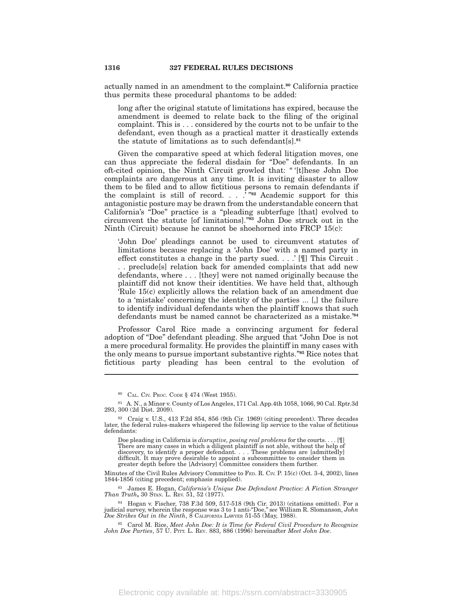actually named in an amendment to the complaint.**<sup>80</sup>** California practice thus permits these procedural phantoms to be added:

long after the original statute of limitations has expired, because the amendment is deemed to relate back to the filing of the original complaint. This is . . . considered by the courts not to be unfair to the defendant, even though as a practical matter it drastically extends the statute of limitations as to such defendant[s].**<sup>81</sup>**

Given the comparative speed at which federal litigation moves, one can thus appreciate the federal disdain for ''Doe'' defendants. In an oft-cited opinion, the Ninth Circuit growled that: '' '[t]hese John Doe complaints are dangerous at any time. It is inviting disaster to allow them to be filed and to allow fictitious persons to remain defendants if the complaint is still of record. . . .' ''**<sup>82</sup>** Academic support for this antagonistic posture may be drawn from the understandable concern that California's ''Doe'' practice is a ''pleading subterfuge [that] evolved to circumvent the statute [of limitations].''**<sup>83</sup>** John Doe struck out in the Ninth (Circuit) because he cannot be shoehorned into FRCP 15(c):

'John Doe' pleadings cannot be used to circumvent statutes of limitations because replacing a 'John Doe' with a named party in effect constitutes a change in the party sued. . . .' [¶] This Circuit . . . preclude[s] relation back for amended complaints that add new defendants, where . . . [they] were not named originally because the plaintiff did not know their identities. We have held that, although 'Rule 15(c) explicitly allows the relation back of an amendment due to a 'mistake' concerning the identity of the parties ... [,] the failure to identify individual defendants when the plaintiff knows that such defendants must be named cannot be characterized as a mistake.'**<sup>84</sup>**

Professor Carol Rice made a convincing argument for federal adoption of ''Doe'' defendant pleading. She argued that ''John Doe is not a mere procedural formality. He provides the plaintiff in many cases with the only means to pursue important substantive rights.''**<sup>85</sup>** Rice notes that fictitious party pleading has been central to the evolution of

Doe pleading in California is *disruptive, posing real problems* for the courts. . . . [¶] There are many cases in which a diligent plaintiff is not able, without the help of discovery, to identify a proper defendant. . . . These problems are [admittedly] difficult. It may prove desirable to appoint a subcommittee to consider them in greater depth before the [Advisory] Committee considers them further.

Minutes of the Civil Rules Advisory Committee to FED. R. CIV. P. 15(c) (Oct. 3-4, 2002), lines 1844-1856 (citing precedent; emphasis supplied).

<sup>83</sup> James E. Hogan, *California's Unique Doe Defendant Practice: A Fiction Stranger Than Truth***,** 30 STAN. L. REV. 51, 52 (1977).

<sup>84</sup> Hogan v. Fischer, 738 F.3d 509, 517-518 (9th Cir. 2013) (citations omitted). For a judicial survey, wherein the response was 3 to 1 anti-"Doe," see William R. Slomanson, John<br>Doe Strikes Out in the Ninth, 8 CALIFORNIA

<sup>85</sup> Carol M. Rice, *Meet John Doe: It is Time for Federal Civil Procedure to Recognize John Doe Parties*, 57 U. PITT. L. REV. 883, 886 (1996) hereinafter *Meet John Doe*.

<sup>80</sup> CAL. CIV. PROC. CODE § 474 (West 1955).

<sup>81</sup> A. N., a Minor v. County of Los Angeles, 171 Cal. App.4th 1058, 1066, 90 Cal. Rptr.3d 293, 300 (2d Dist. 2009).

<sup>82</sup> Craig v. U.S., 413 F.2d 854, 856 (9th Cir. 1969) (citing precedent). Three decades later, the federal rules-makers whispered the following lip service to the value of fictitious defendants: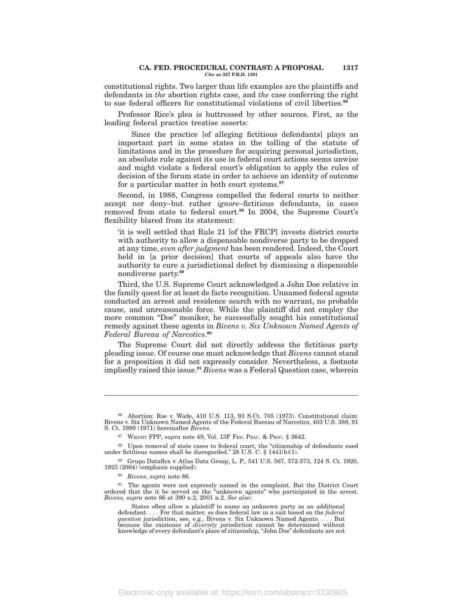#### **CA. FED. PROCEDURAL CONTRAST: A PROPOSAL 1317 Cite as 327 F.R.D. 1301**

constitutional rights. Two larger than life examples are the plaintiffs and defendants in *the* abortion rights case, and *the* case conferring the right to sue federal officers for constitutional violations of civil liberties.**<sup>86</sup>**

Professor Rice's plea is buttressed by other sources. First, as the leading federal practice treatise asserts:

Since the practice [of alleging fictitious defendants] plays an important part in some states in the tolling of the statute of limitations and in the procedure for acquiring personal jurisdiction, an absolute rule against its use in federal court actions seems unwise and might violate a federal court's obligation to apply the rules of decision of the forum state in order to achieve an identity of outcome for a particular matter in both court systems.**<sup>87</sup>**

Second, in 1988, Congress compelled the federal courts to neither accept nor deny–but rather *ignore*–fictitious defendants, in cases removed from state to federal court.**<sup>88</sup>** In 2004, the Supreme Court's flexibility blared from its statement:

'it is well settled that Rule 21 [of the FRCP] invests district courts with authority to allow a dispensable nondiverse party to be dropped at any time, *even after judgment* has been rendered. Indeed, the Court held in [a prior decision] that courts of appeals also have the authority to cure a jurisdictional defect by dismissing a dispensable nondiverse party.**<sup>89</sup>**

Third, the U.S. Supreme Court acknowledged a John Doe relative in the family quest for at least de facto recognition. Unnamed federal agents conducted an arrest and residence search with no warrant, no probable cause, and unreasonable force. While the plaintiff did not employ the more common ''Doe'' moniker, he successfully sought his constitutional remedy against these agents in *Bivens v. Six Unknown Named Agents of Federal Bureau of Narcotics*. **90**

The Supreme Court did not directly address the fictitious party pleading issue. Of course one must acknowledge that *Bivens* cannot stand for a proposition it did not expressly consider. Nevertheless, a footnote impliedly raised this issue.**<sup>91</sup>** *Bivens* was a Federal Question case, wherein

<sup>86</sup> Abortion: Roe v. Wade, 410 U.S. 113, 93 S.Ct. 705 (1973). Constitutional claim: Bivens v. Six Unknown Named Agents of the Federal Bureau of Narcotics, 403 U.S. 388, 91 S. Ct. 1999 (1971) hereinafter *Bivens*.

<sup>87</sup> WRIGHT FPP, *supra* note 49, Vol. 13F FED. PRAC. & PROC. § 3642.

<sup>88</sup> Upon removal of state cases to federal court, the "citizenship of defendants sued under fictitious names shall be disregarded." 28 U.S. C. § 1441(b)(1).

<sup>89</sup> Grupo Dataflex v. Atlas Data Group, L. P., 541 U.S. 567, 572-573, 124 S. Ct. 1920, 1925 (2004) (emphasis supplied).

<sup>90</sup> *Bivens*, *supra* note 86.

<sup>&</sup>lt;sup>91</sup> The agents were not expressly named in the complaint. But the District Court ordered that the it be served on the ''unknown agents'' who participated in the arrest. *Bivens, supra* note 86 at 390 n.2, 2001 n.2. *See also*:

States often allow a plaintiff to name an unknown party as an additional defendant. . . . For that matter, so does federal law in a suit based on the *federal* question jurisdiction, see, e.g., Bivens v. Six Unknown Named Agents. . . . But<br>because the existence of *diversity* jurisdiction cannot be determined without<br>knowledge of every defendant's place of citizenship, "John Doe"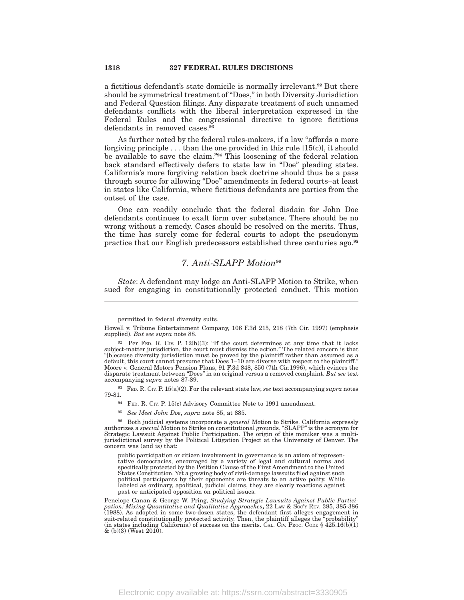a fictitious defendant's state domicile is normally irrelevant.**<sup>92</sup>** But there should be symmetrical treatment of ''Does,'' in both Diversity Jurisdiction and Federal Question filings. Any disparate treatment of such unnamed defendants conflicts with the liberal interpretation expressed in the Federal Rules and the congressional directive to ignore fictitious defendants in removed cases.**<sup>93</sup>**

As further noted by the federal rules-makers, if a law "affords a more forgiving principle  $\dots$  than the one provided in this rule  $[15(c)]$ , it should be available to save the claim.''**<sup>94</sup>** This loosening of the federal relation back standard effectively defers to state law in ''Doe'' pleading states. California's more forgiving relation back doctrine should thus be a pass through source for allowing ''Doe'' amendments in federal courts–at least in states like California, where fictitious defendants are parties from the outset of the case.

One can readily conclude that the federal disdain for John Doe defendants continues to exalt form over substance. There should be no wrong without a remedy. Cases should be resolved on the merits. Thus, the time has surely come for federal courts to adopt the pseudonym practice that our English predecessors established three centuries ago.**<sup>95</sup>**

# *7. Anti-SLAPP Motion***<sup>96</sup>**

*State*: A defendant may lodge an Anti-SLAPP Motion to Strike, when sued for engaging in constitutionally protected conduct. This motion

permitted in federal diversity suits.

<sup>93</sup> FED. R. CIV. P. 15(a)(2). For the relevant state law, *see* text accompanying *supra* notes 79-81.

- 94 FED. R. CIV. P. 15(c) Advisory Committee Note to 1991 amendment.
- <sup>95</sup> *See Meet John Doe*, *supra* note 85, at 885.

<sup>96</sup> Both judicial systems incorporate a *general* Motion to Strike. California expressly authorizes a s*pecial* Motion to Strike on constitutional grounds. "SLAPP" is the acronym for<br>Strategic Lawsuit Against Public Participation. The origin of this moniker was a multijurisdictional survey by the Political Litigation Project at the University of Denver. The concern was (and is) that:

public participation or citizen involvement in governance is an axiom of representative democracies, encouraged by a variety of legal and cultural norms and specifically protected by the Petition Clause of the First Amendment to the United States Constitution. Yet a growing body of civil-damage lawsuits filed against such political participants by their opponents are threats to an active polity. While labeled as ordinary, apolitical, judicial claims, they are clearly reactions against past or anticipated opposition on political issues.

Penelope Canan & George W. Pring, *Studying Strategic Lawsuits Against Public Partici-pation: Mixing Quantitative and Qualitative Approaches***,** 22 LAW & SOC'<sup>Y</sup> REV. 385, 385-386 (1988). As adopted in some two-dozen states, the defendant first alleges engagement in suit-related constitutionally protected activity. Then, the plaintiff alleges the "probability" (in states including California) of su  $\&$  (b)(3) (West 2010).

Howell v. Tribune Entertainment Company, 106 F.3d 215, 218 (7th Cir. 1997) (emphasis supplied). *But see supra* note 88.

<sup>92</sup> Per FED. R. CIV. P. 12(h)(3): "If the court determines at any time that it lacks subject-matter jurisdiction, the court must dismiss the action.'' The related concern is that ''[b]ecause diversity jurisdiction must be proved by the plaintiff rather than assumed as a default, this court cannot presume that Does 1–10 are diverse with respect to the plaintiff.'' Moore v. General Motors Pension Plans, 91 F.3d 848, 850 (7th Cir.1996), which evinces the disparate treatment between ''Does'' in an original versus a removed complaint. *But see* text accompanying *supra* notes 87-89.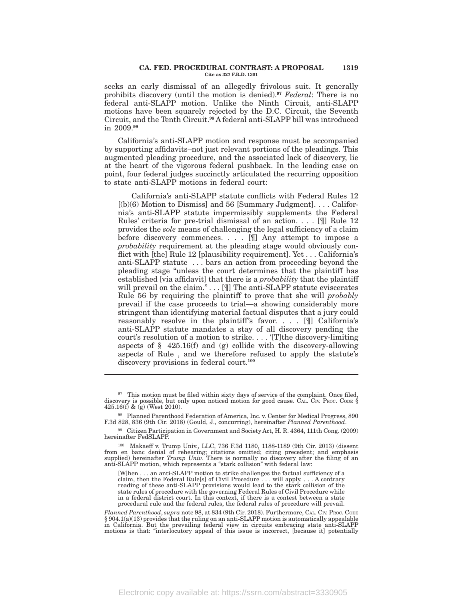#### **CA. FED. PROCEDURAL CONTRAST: A PROPOSAL 1319 Cite as 327 F.R.D. 1301**

seeks an early dismissal of an allegedly frivolous suit. It generally prohibits discovery (until the motion is denied).**<sup>97</sup>** *Federal*: There is no federal anti-SLAPP motion. Unlike the Ninth Circuit, anti-SLAPP motions have been squarely rejected by the D.C. Circuit, the Seventh Circuit, and the Tenth Circuit.**<sup>98</sup>** A federal anti-SLAPP bill was introduced in 2009.**<sup>99</sup>**

California's anti-SLAPP motion and response must be accompanied by supporting affidavits–not just relevant portions of the pleadings. This augmented pleading procedure, and the associated lack of discovery, lie at the heart of the vigorous federal pushback. In the leading case on point, four federal judges succinctly articulated the recurring opposition to state anti-SLAPP motions in federal court:

California's anti-SLAPP statute conflicts with Federal Rules 12  $[(b)(6)$  Motion to Dismiss] and 56 [Summary Judgment]... California's anti-SLAPP statute impermissibly supplements the Federal Rules' criteria for pre-trial dismissal of an action. . . . [¶] Rule 12 provides the *sole* means of challenging the legal sufficiency of a claim before discovery commences. . . . [¶] Any attempt to impose a *probability* requirement at the pleading stage would obviously conflict with [the] Rule 12 [plausibility requirement]. Yet . . . California's anti-SLAPP statute . . . bars an action from proceeding beyond the pleading stage ''unless the court determines that the plaintiff has established [via affidavit] that there is a *probability* that the plaintiff will prevail on the claim." . . . [ [ ] The anti-SLAPP statute eviscerates Rule 56 by requiring the plaintiff to prove that she will *probably* prevail if the case proceeds to trial—a showing considerably more stringent than identifying material factual disputes that a jury could reasonably resolve in the plaintiff's favor. . . . [¶] California's anti-SLAPP statute mandates a stay of all discovery pending the court's resolution of a motion to strike. . . . '[T]the discovery-limiting aspects of  $\S$  425.16(f) and (g) collide with the discovery-allowing aspects of Rule , and we therefore refused to apply the statute's discovery provisions in federal court.**<sup>100</sup>**

[W]hen . . . an anti-SLAPP motion to strike challenges the factual sufficiency of a claim, then the Federal Rule[s] of Civil Procedure . . . will apply. . . . A contrary reading of these anti-SLAPP provisions would lead to the stark collision of the state rules of procedure with the governing Federal Rules of Civil Procedure while in a federal district court. In this context, if there is a contest between a state procedural rule and the federal rules, the federal rules of procedure will prevail.

*Planned Parenthood*, *supra* note 98, at 834 (9th Cir. 2018). Furthermore, CAL. CIV. PROC. CODE § 904.1(a)(13) provides that the ruling on an anti-SLAPP motion is automatically appealable in California. But the prevailing federal view in circuits embracing state anti-SLAPP motions is that: "interlocutory appeal of this issue is incorrect, [because it] potentially

 $97$  This motion must be filed within sixty days of service of the complaint. Once filed, discovery is possible, but only upon noticed motion for good cause. CAL. CIV. PROC. CODE § 425.16(f) & (g) (West 2010).

<sup>98</sup> Planned Parenthood Federation of America, Inc. v. Center for Medical Progress, 890 F.3d 828, 836 (9th Cir. 2018) (Gould, J., concurring), hereinafter *Planned Parenthood*.

<sup>99</sup> Citizen Participation in Government and Society Act, H. R. 4364, 111th Cong. (2009) hereinafter FedSLAPP.

<sup>100</sup> Makaeff v. Trump Univ., LLC, 736 F.3d 1180, 1188-1189 (9th Cir. 2013) (dissent from en banc denial of rehearing; citations omitted; citing precedent; and emphasis supplied) hereinafter *Trump Univ.* There is normally no discovery after the filing of an anti-SLAPP motion, which represents a "stark collision" with federal law: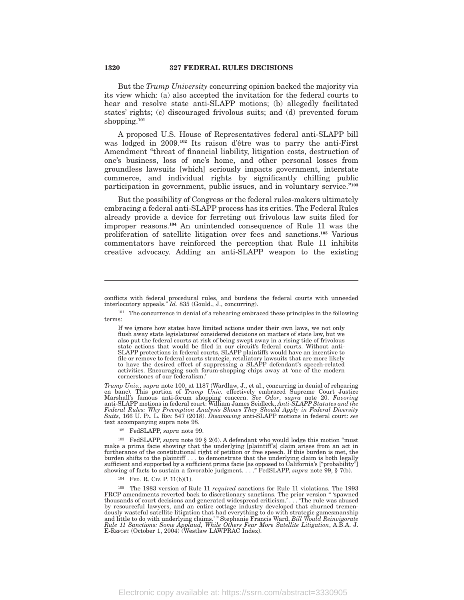But the *Trump University* concurring opinion backed the majority via its view which: (a) also accepted the invitation for the federal courts to hear and resolve state anti-SLAPP motions; (b) allegedly facilitated states' rights; (c) discouraged frivolous suits; and (d) prevented forum shopping.**<sup>101</sup>**

A proposed U.S. House of Representatives federal anti-SLAPP bill was lodged in 2009.**<sup>102</sup>** Its raison d'être was to parry the anti-First Amendment "threat of financial liability, litigation costs, destruction of one's business, loss of one's home, and other personal losses from groundless lawsuits [which] seriously impacts government, interstate commerce, and individual rights by significantly chilling public participation in government, public issues, and in voluntary service.''**<sup>103</sup>**

But the possibility of Congress or the federal rules-makers ultimately embracing a federal anti-SLAPP process has its critics. The Federal Rules already provide a device for ferreting out frivolous law suits filed for improper reasons.**<sup>104</sup>** An unintended consequence of Rule 11 was the proliferation of satellite litigation over fees and sanctions.**<sup>105</sup>** Various commentators have reinforced the perception that Rule 11 inhibits creative advocacy. Adding an anti-SLAPP weapon to the existing

*Trump Univ., supra* note 100, at 1187 (Wardlaw, J., et al., concurring in denial of rehearing en banc). This portion of *Trump Univ.* effectively embraced Supreme Court Justice Marshall's famous anti-forum shopping concern. *See Odor*, *supra* note 20. *Favoring* anti-SLAPP motions in federal court: William James Seidleck, *Anti-SLAPP Statutes and the Federal Rules: Why Preemption Analysis Shows They Should Apply in Federal Diversity Suits*, 166 U. PA. L. REV. 547 (2018). *Disavowing* anti-SLAPP motions in federal court: *see* text accompanying supra note 98.

<sup>102</sup> FedSLAPP, *supra* note 99.

<sup>103</sup> FedSLAPP, *supra* note 99 § 2(6). A defendant who would lodge this motion ''must make a prima facie showing that the underlying [plaintiff's] claim arises from an act in furtherance of the constitutional right of petition or free speech. If this burden is met, the burden shifts to the plaintiff . . . to demonstrate that the underlying claim is both legally sufficient and supported by a sufficient prima facie [as opposed to California's [''probability''] showing of facts to sustain a favorable judgment. . . .'' FedSLAPP, *supra* note 99, § 7(b).

<sup>104</sup> FED. R. CIV. P. 11(b)(1).

<sup>105</sup> The 1983 version of Rule 11 *required* sanctions for Rule 11 violations. The 1993 FRCP amendments reverted back to discretionary sanctions. The prior version "spawned thousands of court decisions and generated wides dously wasteful satellite litigation that had everything to do with strategic gamesmanship<br>and little to do with underlying claims.' " Stephanie Francis Ward, *Bill Would Reinvigorate*<br>*Rule 11 Sanctions: Some Applaud, Whi* 

conflicts with federal procedural rules, and burdens the federal courts with unneeded interlocutory appeals.'' *Id.* 835 (Gould., J., concurring).

 $^{101}\,$  The concurrence in denial of a rehearing embraced these principles in the following terms:

If we ignore how states have limited actions under their own laws, we not only flush away state legislatures' considered decisions on matters of state law, but we also put the federal courts at risk of being swept away in a rising tide of frivolous state actions that would be filed in our circuit's federal courts. Without anti-SLAPP protections in federal courts, SLAPP plaintiffs would have an incentive to file or remove to federal courts strategic, retaliatory lawsuits that are more likely to have the desired effect of suppressing a SLAPP defendant's speech-related activities. Encouraging such forum-shopping chips away at 'one of the modern cornerstones of our federalism.'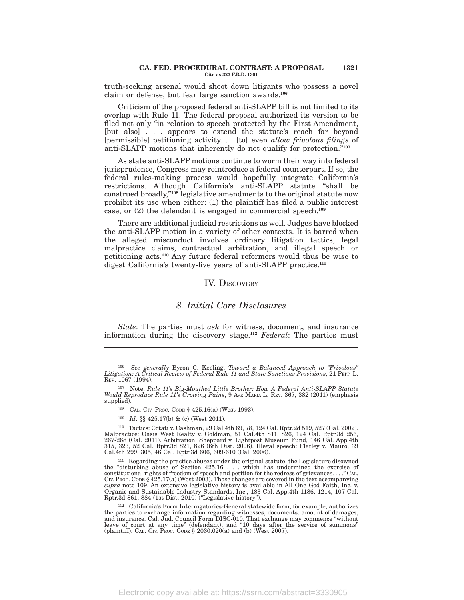#### **CA. FED. PROCEDURAL CONTRAST: A PROPOSAL 1321 Cite as 327 F.R.D. 1301**

truth-seeking arsenal would shoot down litigants who possess a novel claim or defense, but fear large sanction awards.**<sup>106</sup>**

Criticism of the proposed federal anti-SLAPP bill is not limited to its overlap with Rule 11. The federal proposal authorized its version to be filed not only "in relation to speech protected by the First Amendment, [but also] . . . appears to extend the statute's reach far beyond [permissible] petitioning activity. . . [to] even *allow frivolous filings* of anti-SLAPP motions that inherently do not qualify for protection.''**<sup>107</sup>**

As state anti-SLAPP motions continue to worm their way into federal jurisprudence, Congress may reintroduce a federal counterpart. If so, the federal rules-making process would hopefully integrate California's restrictions. Although California's anti-SLAPP statute ''shall be construed broadly,''**<sup>108</sup>** legislative amendments to the original statute now prohibit its use when either: (1) the plaintiff has filed a public interest case, or (2) the defendant is engaged in commercial speech.**<sup>109</sup>**

There are additional judicial restrictions as well. Judges have blocked the anti-SLAPP motion in a variety of other contexts. It is barred when the alleged misconduct involves ordinary litigation tactics, legal malpractice claims, contractual arbitration, and illegal speech or petitioning acts.**<sup>110</sup>** Any future federal reformers would thus be wise to digest California's twenty-five years of anti-SLAPP practice.**<sup>111</sup>**

### IV. DISCOVERY

# *8. Initial Core Disclosures*

*State*: The parties must *ask* for witness, document, and insurance information during the discovery stage.**<sup>112</sup>** *Federal*: The parties must

<sup>107</sup> Note, *Rule 11's Big-Mouthed Little Brother: How A Federal Anti-SLAPP Statute Would Reproduce Rule 11's Growing Pains*, 9 AVE MARIA L. REV. 367, 382 (2011) (emphasis supplied).

<sup>108</sup> CAL. CIV. PROC. CODE § 425.16(a) (West 1993).

<sup>109</sup> *Id.* §§ 425.17(b) & (c) (West 2011).

<sup>110</sup> Tactics: Cotati v. Cashman, 29 Cal.4th 69, 78, 124 Cal. Rptr.2d 519, 527 (Cal. 2002). Malpractice: Oasis West Realty v. Goldman, 51 Cal.4th 811, 826, 124 Cal. Rptr.3d 256, 267-268 (Cal. 2011). Arbitration: Sheppard v. Lightpost Museum Fund, 146 Cal. App.4th 315, 323, 52 Cal. Rptr.3d 821, 826 (6th Dist. 2006). Illegal speech: Flatley v. Mauro, 39 Cal.4th 299, 305, 46 Cal. Rptr.3d 606, 609-610 (Cal. 2006).

<sup>111</sup> Regarding the practice abuses under the original statute, the Legislature disowned the "disturbing abuse of Section 425.16 . . . which has undermined the exercise of constitutional rights of freedom of speech and petition for the redress of grievances. . . . "CAL. CIV. Proc. Code § 425.17(a) (West 2003) *supra* note 109. An extensive legislative history is available in All One God Faith, Inc. v. Organic and Sustainable Industry Standards, Inc., 183 Cal. App.4th 1186, 1214, 107 Cal. Rptr.3d 861, 884 (1st Dist. 2010) (''Legislative history'').

<sup>112</sup> California's Form Interrogatories-General statewide form, for example, authorizes the parties to exchange information regarding witnesses, documents. amount of damages, and insurance. Cal. Jud. Council Form DISC-010. That exchange may commence "without leave of court at any time" (defendant), and "10 da (plaintiff). CAL. CIV. PROC. CODE § 2030.020(a) and (b) (West 2007).

Electronic copy available at: https://ssrn.com/abstract=3330905

<sup>106</sup> *See generally* Byron C. Keeling, *Toward a Balanced Approach to ''Frivolous'' Litigation: A Critical Review of Federal Rule 11 and State Sanctions Provisions*, 21 PEPP. L. REV. 1067 (1994).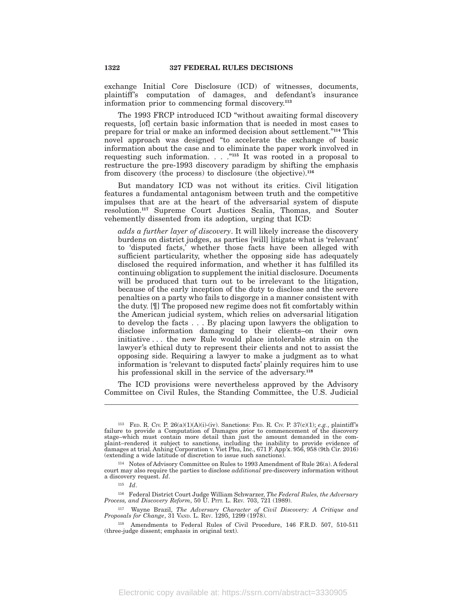exchange Initial Core Disclosure (ICD) of witnesses, documents, plaintiff's computation of damages, and defendant's insurance information prior to commencing formal discovery.**<sup>113</sup>**

The 1993 FRCP introduced ICD "without awaiting formal discovery requests, [of] certain basic information that is needed in most cases to prepare for trial or make an informed decision about settlement.''**<sup>114</sup>** This novel approach was designed ''to accelerate the exchange of basic information about the case and to eliminate the paper work involved in requesting such information. . . .''**<sup>115</sup>** It was rooted in a proposal to restructure the pre-1993 discovery paradigm by shifting the emphasis from discovery (the process) to disclosure (the objective).**<sup>116</sup>**

But mandatory ICD was not without its critics. Civil litigation features a fundamental antagonism between truth and the competitive impulses that are at the heart of the adversarial system of dispute resolution.**<sup>117</sup>** Supreme Court Justices Scalia, Thomas, and Souter vehemently dissented from its adoption, urging that ICD:

*adds a further layer of discovery*. It will likely increase the discovery burdens on district judges, as parties [will] litigate what is 'relevant' to 'disputed facts,' whether those facts have been alleged with sufficient particularity, whether the opposing side has adequately disclosed the required information, and whether it has fulfilled its continuing obligation to supplement the initial disclosure. Documents will be produced that turn out to be irrelevant to the litigation, because of the early inception of the duty to disclose and the severe penalties on a party who fails to disgorge in a manner consistent with the duty. [¶] The proposed new regime does not fit comfortably within the American judicial system, which relies on adversarial litigation to develop the facts . . . By placing upon lawyers the obligation to disclose information damaging to their clients–on their own initiative . . . the new Rule would place intolerable strain on the lawyer's ethical duty to represent their clients and not to assist the opposing side. Requiring a lawyer to make a judgment as to what information is 'relevant to disputed facts' plainly requires him to use his professional skill in the service of the adversary.**<sup>118</sup>**

The ICD provisions were nevertheless approved by the Advisory Committee on Civil Rules, the Standing Committee, the U.S. Judicial

<sup>&</sup>lt;sup>113</sup> FED. R. CIV. P.  $26(a)(1)(A)(i)-(iv)$ . Sanctions: FED. R. CIV. P.  $37(c)(1)$ ; *e.g.*, plaintiff's failure to provide a Computation of Damages prior to commencement of the discovery stage–which must contain more detail than just the amount demanded in the complaint–rendered it subject to sanctions, including the inability to provide evidence of damages at trial. Anhing Corporation v. Viet Phu, Inc., 671 F. App'x. 956, 958 (9th Cir. 2016) (extending a wide latitude of discretion to issue such sanctions).

<sup>114</sup> Notes of Advisory Committee on Rules to 1993 Amendment of Rule 26(a). A federal court may also require the parties to disclose *additional* pre-discovery information without a discovery request. *Id*.

<sup>115</sup> *Id*.

<sup>116</sup> Federal District Court Judge William Schwarzer, *The Federal Rules, the Adversary Process, and Discovery Reform*, 50 U. PITT. L. REV*.* 703, 721 (1989).

<sup>117</sup> Wayne Brazil, *The Adversary Character of Civil Discovery: A Critique and Proposals for Change*, 31 VAND. L. REV. 1295, 1299 (1978).

<sup>118</sup> Amendments to Federal Rules of Civil Procedure, 146 F.R.D. 507, 510-511 (three-judge dissent; emphasis in original text).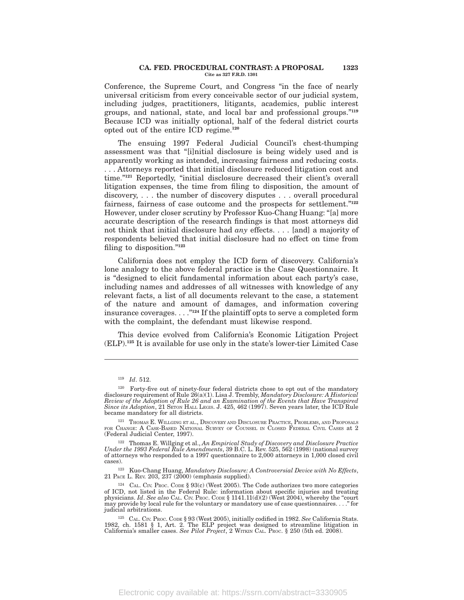#### **CA. FED. PROCEDURAL CONTRAST: A PROPOSAL 1323 Cite as 327 F.R.D. 1301**

Conference, the Supreme Court, and Congress ''in the face of nearly universal criticism from every conceivable sector of our judicial system, including judges, practitioners, litigants, academics, public interest groups, and national, state, and local bar and professional groups.''**<sup>119</sup>** Because ICD was initially optional, half of the federal district courts opted out of the entire ICD regime.**<sup>120</sup>**

The ensuing 1997 Federal Judicial Council's chest-thumping assessment was that ''[i]nitial disclosure is being widely used and is apparently working as intended, increasing fairness and reducing costs. . . . Attorneys reported that initial disclosure reduced litigation cost and time."<sup>121</sup> Reportedly, "initial disclosure decreased their client's overall litigation expenses, the time from filing to disposition, the amount of discovery, . . . the number of discovery disputes . . . overall procedural fairness, fairness of case outcome and the prospects for settlement.''**<sup>122</sup>** However, under closer scrutiny by Professor Kuo-Chang Huang: ''[a] more accurate description of the research findings is that most attorneys did not think that initial disclosure had *any* effects. . . . [and] a majority of respondents believed that initial disclosure had no effect on time from filing to disposition.''**<sup>123</sup>**

California does not employ the ICD form of discovery. California's lone analogy to the above federal practice is the Case Questionnaire. It is ''designed to elicit fundamental information about each party's case, including names and addresses of all witnesses with knowledge of any relevant facts, a list of all documents relevant to the case, a statement of the nature and amount of damages, and information covering insurance coverages. . . .''**<sup>124</sup>** If the plaintiff opts to serve a completed form with the complaint, the defendant must likewise respond.

This device evolved from California's Economic Litigation Project (ELP).**<sup>125</sup>** It is available for use only in the state's lower-tier Limited Case

<sup>121</sup> THOMAS E. WILLGING ET AL., DISCOVERY AND DISCLOSURE PRACTICE, PROBLEMS, AND PROPOSALS FOR CHANGE: A CASE-BASED NATIONAL SURVEY OF COUNSEL IN CLOSED FEDERAL CIVIL CASES at 2 (Federal Judicial Center, 1997).

<sup>122</sup> Thomas E. Willging et al., *An Empirical Study of Discovery and Disclosure Practice Under the 1993 Federal Rule Amendments*, 39 B.C. L. Rev. 525, 562 (1998) (national survey of attorneys who responded to a 1997 questionnaire to 2,000 attorneys in 1,000 closed civil cases).

<sup>123</sup> Kuo-Chang Huang, *Mandatory Disclosure: A Controversial Device with No Effects*, 21 PACE L. REV. 203, 237 (2000) (emphasis supplied).

<sup>124</sup> CAL. CIV. PROC. CODE § 93(c) (West 2005). The Code authorizes two more categories of ICD, not listed in the Federal Rule: information about specific injuries and treating physicians. *Id*. *See also* CAL. CIV. PROC. CODE § 1141.11(d)(2) (West 2004), whereby the ''court may provide by local rule for the voluntary or mandatory use of case questionnaires. . . .'' for judicial arbitrations.

<sup>125</sup> CAL. CIV. Proc. CODE § 93 (West 2005), initially codified in 1982. See California Stats.<br>1982, ch. 1581 § 1, Art. 2. The ELP project was designed to streamline litigation in California's smaller cases. See Pilot Pro

Electronic copy available at: https://ssrn.com/abstract=3330905

<sup>119</sup> *Id*. 512.

<sup>120</sup> Forty-five out of ninety-four federal districts chose to opt out of the mandatory disclosure requirement of Rule 26(a)(1). Lisa J. Trembly, *Mandatory Disclosure: A Historical Review of the Adoption of Rule 26 and an Examination of the Events that Have Transpired Since its Adoption*, 21 SETON HALL LEGIS. J. 425, 462 (1997). Seven years later, the ICD Rule became mandatory for all districts.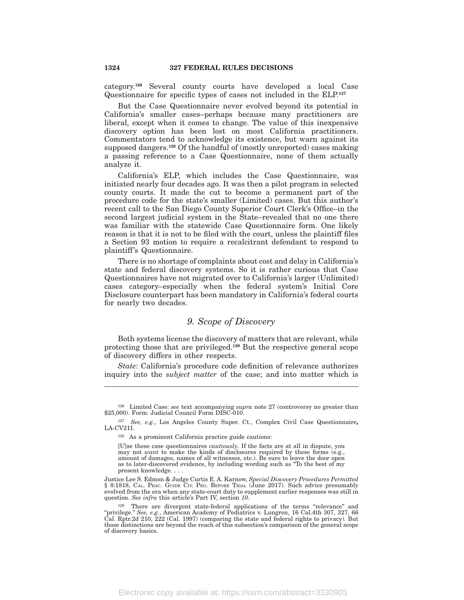category.**<sup>126</sup>** Several county courts have developed a local Case Questionnaire for specific types of cases not included in the ELP.**<sup>127</sup>**

But the Case Questionnaire never evolved beyond its potential in California's smaller cases–perhaps because many practitioners are liberal, except when it comes to change. The value of this inexpensive discovery option has been lost on most California practitioners. Commentators tend to acknowledge its existence, but warn against its supposed dangers.**<sup>128</sup>** Of the handful of (mostly unreported) cases making a passing reference to a Case Questionnaire, none of them actually analyze it.

California's ELP, which includes the Case Questionnaire, was initiated nearly four decades ago. It was then a pilot program in selected county courts. It made the cut to become a permanent part of the procedure code for the state's smaller (Limited) cases. But this author's recent call to the San Diego County Superior Court Clerk's Office–in the second largest judicial system in the State–revealed that no one there was familiar with the statewide Case Questionnaire form. One likely reason is that it is not to be filed with the court, unless the plaintiff files a Section 93 motion to require a recalcitrant defendant to respond to plaintiff's Questionnaire.

There is no shortage of complaints about cost and delay in California's state and federal discovery systems. So it is rather curious that Case Questionnaires have not migrated over to California's larger (Unlimited) cases category–especially when the federal system's Initial Core Disclosure counterpart has been mandatory in California's federal courts for nearly two decades.

# *9. Scope of Discovery*

Both systems license the discovery of matters that are relevant, while protecting those that are privileged.**<sup>129</sup>** But the respective general scope of discovery differs in other respects.

*State*: California's procedure code definition of relevance authorizes inquiry into the *subject matter* of the case; and into matter which is

<sup>126</sup> Limited Case: *see* text accompanying *supra* note 27 (controversy no greater than \$25,000). Form: Judicial Council Form DISC-010.

<sup>127</sup> *See, e.g.*, Los Angeles County Super. Ct., Complex Civil Case Questionnaire**,** LA-CV211.

<sup>128</sup> As a prominent California practice guide cautions:

<sup>[</sup>U]se these case questionnaires *cautiously*. If the facts are at all in dispute, you may not *want* to make the kinds of disclosures required by these forms (e.g., amount of damages, names of all witnesses, etc.). Be sure to leave the door open as to later-discovered evidence, by including wording such as ''To the best of my present knowledge. . . .

Justice Lee S. Edmon & Judge Curtis E. A. Karnow, *Special Discovery Procedures Permitted* § 8:1818, CAL. PRAC. GUIDE CIV. PRO. BEFORE TRIAL (June 2017). Such advice presumably evolved from the era when any state-court duty to supplement earlier responses was still in question. *See infra* this article's Part IV, section *10*.

<sup>129</sup> There are divergent state-federal applications of the terms ''relevance'' and ''privilege.'' *See, e.g.*, American Academy of Pediatrics v. Lungren, 16 Cal.4th 307, 327, 66 Cal. Rptr.2d 210, 222 (Cal. 1997) (comparing the state and federal rights to privacy). But those distinctions are beyond the reach of this subsection's comparison of the general scope of discovery basics.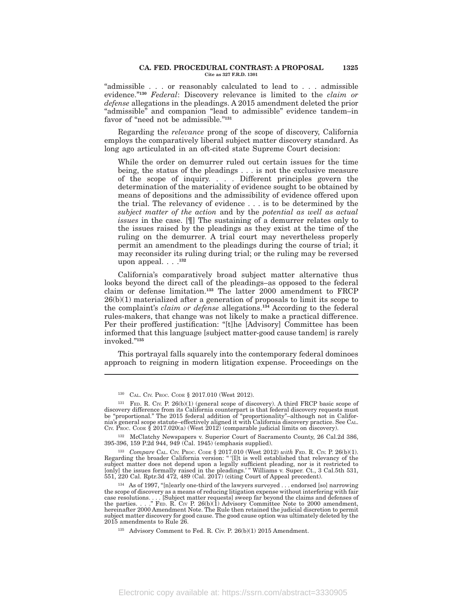#### **CA. FED. PROCEDURAL CONTRAST: A PROPOSAL 1325 Cite as 327 F.R.D. 1301**

"admissible . . . or reasonably calculated to lead to . . . admissible evidence.''**<sup>130</sup>** *Federal*: Discovery relevance is limited to the *claim or defense* allegations in the pleadings. A 2015 amendment deleted the prior ''admissible'' and companion ''lead to admissible'' evidence tandem–in favor of "need not be admissible."<sup>131</sup>

Regarding the *relevance* prong of the scope of discovery, California employs the comparatively liberal subject matter discovery standard. As long ago articulated in an oft-cited state Supreme Court decision:

While the order on demurrer ruled out certain issues for the time being, the status of the pleadings . . . is not the exclusive measure of the scope of inquiry. . . . Different principles govern the determination of the materiality of evidence sought to be obtained by means of depositions and the admissibility of evidence offered upon the trial. The relevancy of evidence . . . is to be determined by the *subject matter of the action* and by the *potential as well as actual issues* in the case. [¶] The sustaining of a demurrer relates only to the issues raised by the pleadings as they exist at the time of the ruling on the demurrer. A trial court may nevertheless properly permit an amendment to the pleadings during the course of trial; it may reconsider its ruling during trial; or the ruling may be reversed upon appeal. . . .**<sup>132</sup>**

California's comparatively broad subject matter alternative thus looks beyond the direct call of the pleadings–as opposed to the federal claim or defense limitation.**<sup>133</sup>** The latter 2000 amendment to FRCP 26(b)(1) materialized after a generation of proposals to limit its scope to the complaint's *claim or defense* allegations.**<sup>134</sup>** According to the federal rules-makers, that change was not likely to make a practical difference. Per their proffered justification: "[t]he [Advisory] Committee has been informed that this language [subject matter-good cause tandem] is rarely invoked.''**<sup>135</sup>**

This portrayal falls squarely into the contemporary federal dominoes approach to reigning in modern litigation expense. Proceedings on the

<sup>130</sup> CAL. CIV. PROC. CODE § 2017.010 (West 2012).

<sup>131</sup> FED. R. CIV. P. 26(b)(1) (general scope of discovery). A third FRCP basic scope of discovery difference from its California counterpart is that federal discovery requests must be ''proportional.'' The 2015 federal addition of ''proportionality''–although not in Califor-nia's general scope statute–effectively aligned it with California discovery practice. See CAL. CIV. PROC. CODE  $\S 2017.020(a)$  (West  $2012$ ) (comparable judicial limits on discovery).

<sup>132</sup> McClatchy Newspapers v. Superior Court of Sacramento County, 26 Cal.2d 386, 395-396, 159 P.2d 944, 949 (Cal. 1945) (emphasis supplied).

<sup>133</sup> *Compare* CAL. Civ. Proc. Code § 2017.010 (West 2012) *with* Fed. R. Civ. P. 26(b)(1).<br>Regarding the broader California version: "'[I]t is well established that relevancy of the subject matter does not depend upon a legally sufficient pleading, nor is it restricted to [only] the issues formally raised in the pleadings.' '' Williams v. Super. Ct., 3 Cal.5th 531, 551, 220 Cal. Rptr.3d 472, 489 (Cal. 2017) (citing Court of Appeal precedent).

<sup>134</sup> As of 1997, ''[n]early one-third of the lawyers surveyed . . . endorsed [so] narrowing the scope of discovery as a means of reducing litigation expense without interfering with fair case resolutions. . . . [Subject matter requests] sweep far beyond the claims and defenses of the parties. . . .'' FED. R. CIV P. 26(b)(1) Advisory Committee Note to 2000 amendment, hereinafter 2000 Amendment Note. The Rule then retained the judicial discretion to permit subject matter discovery for good cause. The good cause option was ultimately deleted by the 2015 amendments to Rule 26.

<sup>135</sup> Advisory Comment to Fed. R. Civ. P. 26(b)(1) 2015 Amendment.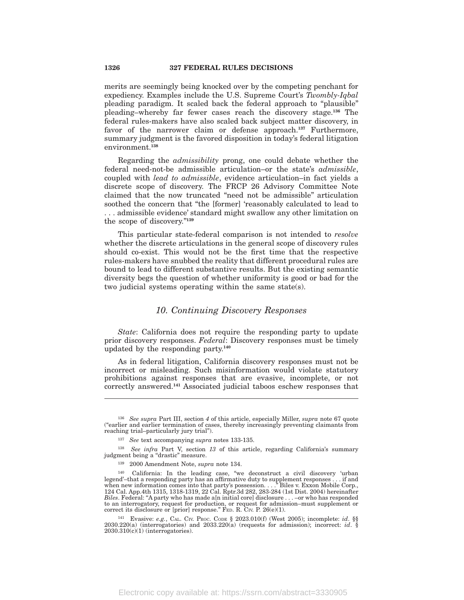merits are seemingly being knocked over by the competing penchant for expediency. Examples include the U.S. Supreme Court's *Twombly-Iqbal* pleading paradigm. It scaled back the federal approach to ''plausible'' pleading–whereby far fewer cases reach the discovery stage.**<sup>136</sup>** The federal rules-makers have also scaled back subject matter discovery, in favor of the narrower claim or defense approach.**<sup>137</sup>** Furthermore, summary judgment is the favored disposition in today's federal litigation environment.**<sup>138</sup>**

Regarding the *admissibility* prong, one could debate whether the federal need-not-be admissible articulation–or the state's *admissible*, coupled with *lead to admissible*, evidence articulation–in fact yields a discrete scope of discovery. The FRCP 26 Advisory Committee Note claimed that the now truncated ''need not be admissible'' articulation soothed the concern that ''the [former] 'reasonably calculated to lead to . . . admissible evidence' standard might swallow any other limitation on the scope of discovery.''**<sup>139</sup>**

This particular state-federal comparison is not intended to *resolve* whether the discrete articulations in the general scope of discovery rules should co-exist. This would not be the first time that the respective rules-makers have snubbed the reality that different procedural rules are bound to lead to different substantive results. But the existing semantic diversity begs the question of whether uniformity is good or bad for the two judicial systems operating within the same state(s).

### *10. Continuing Discovery Responses*

*State*: California does not require the responding party to update prior discovery responses. *Federal*: Discovery responses must be timely updated by the responding party.**<sup>140</sup>**

As in federal litigation, California discovery responses must not be incorrect or misleading. Such misinformation would violate statutory prohibitions against responses that are evasive, incomplete, or not correctly answered.**<sup>141</sup>** Associated judicial taboos eschew responses that

<sup>136</sup> *See supra* Part III, section *4* of this article, especially Miller, *supra* note 67 quote (''earlier and earlier termination of cases, thereby increasingly preventing claimants from reaching trial–particularly jury trial'').

<sup>137</sup> *See* text accompanying *supra* notes 133-135.

<sup>138</sup> *See infra* Part V, section *13* of this article, regarding California's summary judgment being a ''drastic'' measure.

<sup>139</sup> 2000 Amendment Note, *supra* note 134.

<sup>140</sup> California: In the leading case, ''we deconstruct a civil discovery 'urban legend'–that a responding party has an affirmative duty to supplement responses . . . if and when new information comes into that party's possession. . . .'' Biles v. Exxon Mobile Corp., 124 Cal. App.4th 1315, 1318-1319, 22 Cal. Rptr.3d 282, 283-284 (1st Dist. 2004) hereinafter *Biles*. Federal: "A party who has made a[n initial core] disclosure . . . –or who has responded to an interrogatory, request for production, or request for admission–must supplement or correct its disclosure or [prior] response."  $\overline{F}$ ED. R. CIV. P. 26(e)(1).

<sup>141</sup> Evasive: *e.g.*, CAL. CIV. PROC. CODE § 2023.010(f) (West 2005); incomplete: *id*. §§ 2030.220(a) (interrogatories) and 2033.220(a) (requests for admission); incorrect: *id*. § 2030.310(c)(1) (interrogatories).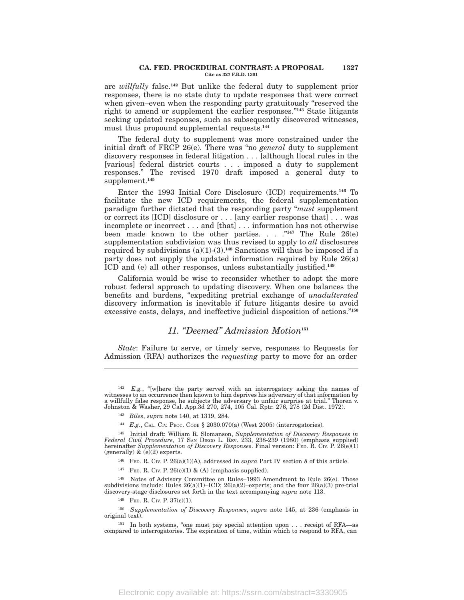#### **CA. FED. PROCEDURAL CONTRAST: A PROPOSAL 1327 Cite as 327 F.R.D. 1301**

are *willfully* false.**<sup>142</sup>** But unlike the federal duty to supplement prior responses, there is no state duty to update responses that were correct when given–even when the responding party gratuitously "reserved the right to amend or supplement the earlier responses.''**<sup>143</sup>** State litigants seeking updated responses, such as subsequently discovered witnesses, must thus propound supplemental requests.**<sup>144</sup>**

The federal duty to supplement was more constrained under the initial draft of FRCP 26(e). There was "no *general* duty to supplement discovery responses in federal litigation . . . [although l]ocal rules in the [various] federal district courts . . . imposed a duty to supplement responses.'' The revised 1970 draft imposed a general duty to supplement.**<sup>145</sup>**

Enter the 1993 Initial Core Disclosure (ICD) requirements.**<sup>146</sup>** To facilitate the new ICD requirements, the federal supplementation paradigm further dictated that the responding party ''*must* supplement or correct its [ICD] disclosure or . . . [any earlier response that] . . . was incomplete or incorrect . . . and [that] . . . information has not otherwise been made known to the other parties. . . .''**<sup>147</sup>** The Rule 26(e) supplementation subdivision was thus revised to apply to *all* disclosures required by subdivisions  $(a)(1)-(3)$ .<sup>148</sup> Sanctions will thus be imposed if a party does not supply the updated information required by Rule 26(a) ICD and (e) all other responses, unless substantially justified.**<sup>149</sup>**

California would be wise to reconsider whether to adopt the more robust federal approach to updating discovery. When one balances the benefits and burdens, ''expediting pretrial exchange of *unadulterated* discovery information is inevitable if future litigants desire to avoid excessive costs, delays, and ineffective judicial disposition of actions.''**<sup>150</sup>**

# *11. ''Deemed'' Admission Motion***<sup>151</sup>**

*State*: Failure to serve, or timely serve, responses to Requests for Admission (RFA) authorizes the *requesting* party to move for an order

 $^{142}$  *E.g.*, "[w]here the party served with an interrogatory asking the names of witnesses to an occurrence then known to him deprives his adversary of that information by a willfully false response, he subjects the adversary to unfair surprise at trial.'' Thoren v. Johnston & Washer, 29 Cal. App.3d 270, 274, 105 Cal. Rptr. 276, 278 (2d Dist. 1972).

<sup>143</sup> *Biles*, *supra* note 140, at 1319, 284.

<sup>144</sup> *E.g.*, CAL. CIV. PROC. CODE § 2030.070(a) (West 2005) (interrogatories).

<sup>&</sup>lt;sup>145</sup> Initial draft: William R. Slomanson, Supplementation of Discovery Responses in Federal Civil Procedure, 17 SAN DIEGO L. REV. 233, 238-239 (1980) (emphasis supplied) hereinafter Supplementation of Discovery Responses (generally)  $\&$  (e)(2) experts.

<sup>146</sup> FED. R. CIV. P. 26(a)(1)(A), addressed in *supra* Part IV section *8* of this article.

<sup>&</sup>lt;sup>147</sup> FED. R. CIV. P. 26(e)(1) & (A) (emphasis supplied).

<sup>148</sup> Notes of Advisory Committee on Rules–1993 Amendment to Rule 26(e). Those subdivisions include: Rules  $26(a)(1)$ –ICD;  $26(a)(2)$ –experts; and the four  $26(a)(3)$  pre-trial discovery-stage disclosures set forth in the text accompanying *supra* note 113.

<sup>149</sup> FED. R. CIV. P. 37(c)(1).

<sup>150</sup> *Supplementation of Discovery Responses*, *supra* note 145, at 236 (emphasis in original text).

<sup>&</sup>lt;sup>151</sup> In both systems, "one must pay special attention upon . . . receipt of RFA—as compared to interrogatories. The expiration of time, within which to respond to RFA, can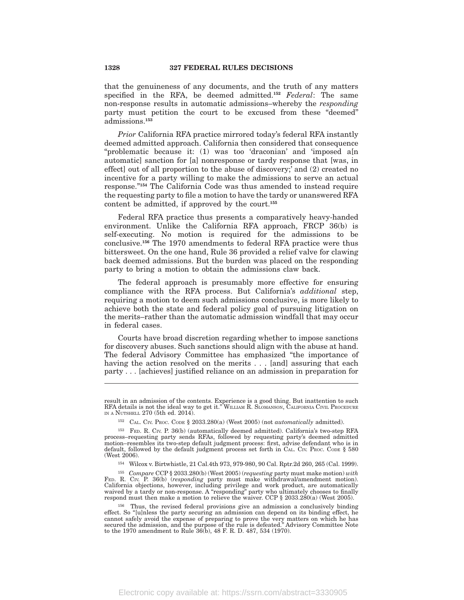that the genuineness of any documents, and the truth of any matters specified in the RFA, be deemed admitted.**<sup>152</sup>** *Federal*: The same non-response results in automatic admissions–whereby the *responding* party must petition the court to be excused from these ''deemed'' admissions.**<sup>153</sup>**

*Prior* California RFA practice mirrored today's federal RFA instantly deemed admitted approach. California then considered that consequence ''problematic because it: (1) was too 'draconian' and 'imposed a[n automatic] sanction for [a] nonresponse or tardy response that [was, in effect] out of all proportion to the abuse of discovery;' and (2) created no incentive for a party willing to make the admissions to serve an actual response.''**<sup>154</sup>** The California Code was thus amended to instead require the requesting party to file a motion to have the tardy or unanswered RFA content be admitted, if approved by the court.**<sup>155</sup>**

Federal RFA practice thus presents a comparatively heavy-handed environment. Unlike the California RFA approach, FRCP 36(b) is self-executing. No motion is required for the admissions to be conclusive.**<sup>156</sup>** The 1970 amendments to federal RFA practice were thus bittersweet. On the one hand, Rule 36 provided a relief valve for clawing back deemed admissions. But the burden was placed on the responding party to bring a motion to obtain the admissions claw back.

The federal approach is presumably more effective for ensuring compliance with the RFA process. But California's *additional* step, requiring a motion to deem such admissions conclusive, is more likely to achieve both the state and federal policy goal of pursuing litigation on the merits–rather than the automatic admission windfall that may occur in federal cases.

Courts have broad discretion regarding whether to impose sanctions for discovery abuses. Such sanctions should align with the abuse at hand. The federal Advisory Committee has emphasized ''the importance of having the action resolved on the merits . . . [and] assuring that each party . . . [achieves] justified reliance on an admission in preparation for

<sup>155</sup> *Compare* CCP § 2033.280(b) (West 2005) (*requesting* party must make motion) *with* FED. R. CIV. P. 36(b) (*responding* party must make withdrawal/amendment motion). California objections, however, including privilege and work product, are automatically waived by a tardy or non-response. A ''responding'' party who ultimately chooses to finally respond must then make a motion to relieve the waiver. CCP § 2033.280(a) (West 2005).

result in an admission of the contents. Experience is a good thing. But inattention to such RFA details is not the ideal way to get it.'' WILLIAM R. SLOMANSON, CALIFORNIA CIVIL PROCEDURE IN A NUTSHELL 270 (5th ed. 2014).

<sup>152</sup> CAL. CIV. PROC. CODE § 2033.280(a) (West 2005) (not *automatically* admitted).

<sup>153</sup> FED. R. CIV. P. 36(b) (automatically deemed admitted). California's two-step RFA process–requesting party sends RFAs, followed by requesting party's deemed admitted motion–resembles its two-step default judgment process: first, advise defendant who is in default, followed by the default judgment process set forth in CAL. CIV. Proc. CODE § 580 (West 2006).

<sup>154</sup> Wilcox v. Birtwhistle, 21 Cal.4th 973, 979-980, 90 Cal. Rptr.2d 260, 265 (Cal. 1999).

<sup>156</sup> Thus, the revised federal provisions give an admission a conclusively binding effect. So "[u]nless the party securing an admission can depend on its binding effect, he cannot safely avoid the expense of preparing to prove the very matters on which he has secured the admission, and the purpose of the rule is defeated.'' Advisory Committee Note to the 1970 amendment to Rule 36(b), 48 F. R. D. 487, 534 (1970).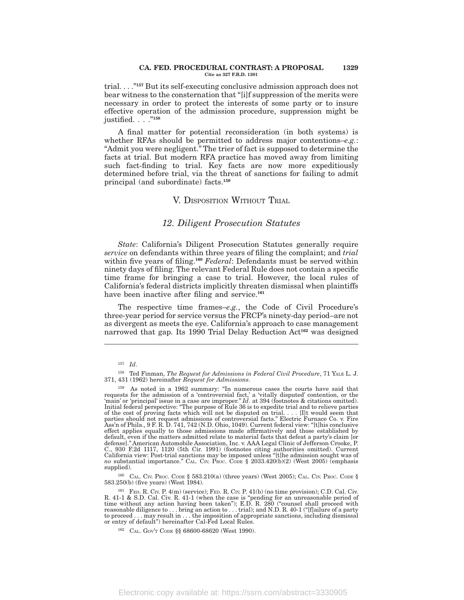#### **CA. FED. PROCEDURAL CONTRAST: A PROPOSAL 1329 Cite as 327 F.R.D. 1301**

trial. . . .''**<sup>157</sup>** But its self-executing conclusive admission approach does not bear witness to the consternation that ''[i]f suppression of the merits were necessary in order to protect the interests of some party or to insure effective operation of the admission procedure, suppression might be justified. . . .''**<sup>158</sup>**

A final matter for potential reconsideration (in both systems) is whether RFAs should be permitted to address major contentions–*e.g.*: "Admit you were negligent." The trier of fact is supposed to determine the facts at trial. But modern RFA practice has moved away from limiting such fact-finding to trial. Key facts are now more expeditiously determined before trial, via the threat of sanctions for failing to admit principal (and subordinate) facts.**<sup>159</sup>**

### V. DISPOSITION WITHOUT TRIAL

# *12. Diligent Prosecution Statutes*

*State*: California's Diligent Prosecution Statutes generally require *service* on defendants within three years of filing the complaint; and *trial* within five years of filing.**<sup>160</sup>** *Federal*: Defendants must be served within ninety days of filing. The relevant Federal Rule does not contain a specific time frame for bringing a case to trial. However, the local rules of California's federal districts implicitly threaten dismissal when plaintiffs have been inactive after filing and service.**<sup>161</sup>**

The respective time frames–*e.g.*, the Code of Civil Procedure's three-year period for service versus the FRCP's ninety-day period–are not as divergent as meets the eye. California's approach to case management narrowed that gap. Its 1990 Trial Delay Reduction Act**<sup>162</sup>** was designed

<sup>160</sup> CAL. CIV. PROC. CODE § 583.210(a) (three years) (West 2005); CAL. CIV. PROC. CODE § 583.250(b) (five years) (West 1984).

<sup>157</sup> *Id*.

<sup>158</sup> Ted Finman, *The Request for Admissions in Federal Civil Procedure*, 71 YALE L. J. 371, 431 (1962) hereinafter *Request for Admissions*.

<sup>&</sup>lt;sup>159</sup> As noted in a 1962 summary: "In numerous cases the courts have said that requests for the admission of a 'controversial fact,' a 'vitally disputed' contention, or the 'main' or 'principal' issue in a case are improp Ass'n of Phila., 9 F. R. D. 741, 742 (N.D. Ohio, 1049). Current federal view: ''[t]his conclusive effect applies equally to those admissions made affirmatively and those established by default, even if the matters admitted relate to material facts that defeat a party's claim [or defense]." American Automobile Association, Inc. v. AAA Legal Clinic of Jefferson Crooke, P.<br>C., 930 F.2d 1117, 1120 (5th Cir. 1991) (footnotes citing authorities omitted). Current<br>California view: Post-trial s *no* substantial importance." CAL. CIV. PROC. CODE § 2033.420(b)(2) (West 2005) (emphasis supplied).

<sup>161</sup> FED. R. CIV. P. 4(m) (service); FED. R. CIV. P. 41(b) (no time provision); C.D. Cal. Civ. R. 41-1 & S.D. Cal. Civ. R. 41-1 (when the case is "pending for an unreasonable period of time without any action having been taken"); E.D. R. 280 ("counsel shall proceed with reasonable diligence to . . . bring an action to . . . trial); and N.D. R. 40-1 (''[f]ailure of a party to proceed . . . may result in . . . the imposition of appropriate sanctions, including dismissal or entry of default'') hereinafter Cal-Fed Local Rules.

<sup>162</sup> CAL. GOV'<sup>T</sup> CODE §§ 68600-68620 (West 1990).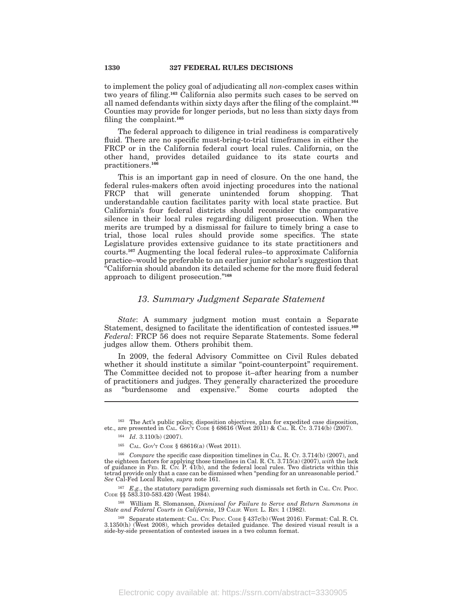to implement the policy goal of adjudicating all *non*-complex cases within two years of filing.**<sup>163</sup>** California also permits such cases to be served on all named defendants within sixty days after the filing of the complaint.**<sup>164</sup>** Counties may provide for longer periods, but no less than sixty days from filing the complaint.**<sup>165</sup>**

The federal approach to diligence in trial readiness is comparatively fluid. There are no specific must-bring-to-trial timeframes in either the FRCP or in the California federal court local rules. California, on the other hand, provides detailed guidance to its state courts and practitioners.**<sup>166</sup>**

This is an important gap in need of closure. On the one hand, the federal rules-makers often avoid injecting procedures into the national FRCP that will generate unintended forum shopping. That understandable caution facilitates parity with local state practice. But California's four federal districts should reconsider the comparative silence in their local rules regarding diligent prosecution. When the merits are trumped by a dismissal for failure to timely bring a case to trial, those local rules should provide some specifics. The state Legislature provides extensive guidance to its state practitioners and courts.**<sup>167</sup>** Augmenting the local federal rules–to approximate California practice–would be preferable to an earlier junior scholar's suggestion that ''California should abandon its detailed scheme for the more fluid federal approach to diligent prosecution.''**<sup>168</sup>**

### *13. Summary Judgment Separate Statement*

*State*: A summary judgment motion must contain a Separate Statement, designed to facilitate the identification of contested issues.**<sup>169</sup>** *Federal*: FRCP 56 does not require Separate Statements. Some federal judges allow them. Others prohibit them.

In 2009, the federal Advisory Committee on Civil Rules debated whether it should institute a similar "point-counterpoint" requirement. The Committee decided not to propose it–after hearing from a number of practitioners and judges. They generally characterized the procedure as ''burdensome and expensive.'' Some courts adopted the

<sup>167</sup> *E.g.*, the statutory paradigm governing such dismissals set forth in CAL. CIV. Proc. CODE §§ 583.310-583.420 (West 1984).

<sup>168</sup> William R. Slomanson, *Dismissal for Failure to Serve and Return Summons in State and Federal Courts in California*, 19 CALIF. WEST. L. REV. 1 (1982).

<sup>163</sup> The Act's public policy, disposition objectives, plan for expedited case disposition, etc., are presented in CAL. Gov't Code § 68616 (West 2011) & CAL. R. Ct. 3.714(b) (2007).

<sup>164</sup> *Id*. 3.110(b) (2007).

<sup>165</sup> CAL. GOV'<sup>T</sup> CODE § 68616(a) (West 2011).

<sup>166</sup> *Compare* the specific case disposition timelines in CAL. R. CT. 3.714(b) (2007), and the eighteen factors for applying those timelines in Cal. R. Ct. 3.715(a) (2007), *with* the lack of guidance in FED. R. CIV. P. 41(b), and the federal local rules. Two districts within this tetrad provide only that a case can be dismissed when ''pending for an unreasonable period.'' *See* Cal-Fed Local Rules, *supra* note 161.

<sup>169</sup> Separate statement: CAL. CIV. PROC. CODE § 437c(b) (West 2016). Format: Cal. R. Ct. 3.1350(h) (West 2008), which provides detailed guidance. The desired visual result is a side-by-side presentation of contested issues in a two column format.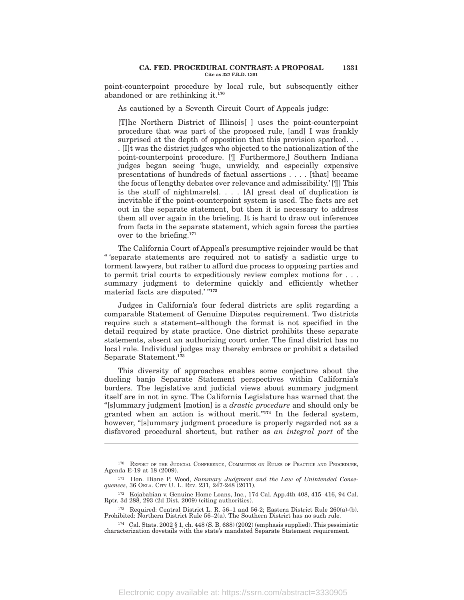#### **CA. FED. PROCEDURAL CONTRAST: A PROPOSAL 1331 Cite as 327 F.R.D. 1301**

point-counterpoint procedure by local rule, but subsequently either abandoned or are rethinking it.**<sup>170</sup>**

As cautioned by a Seventh Circuit Court of Appeals judge:

[T]he Northern District of Illinois[ ] uses the point-counterpoint procedure that was part of the proposed rule, [and] I was frankly surprised at the depth of opposition that this provision sparked. . . . [I]t was the district judges who objected to the nationalization of the point-counterpoint procedure. [¶ Furthermore,] Southern Indiana judges began seeing 'huge, unwieldy, and especially expensive presentations of hundreds of factual assertions . . . . [that] became the focus of lengthy debates over relevance and admissibility.' [¶] This is the stuff of nightmare[s]. . . . [A] great deal of duplication is inevitable if the point-counterpoint system is used. The facts are set out in the separate statement, but then it is necessary to address them all over again in the briefing. It is hard to draw out inferences from facts in the separate statement, which again forces the parties over to the briefing.**<sup>171</sup>**

The California Court of Appeal's presumptive rejoinder would be that '' 'separate statements are required not to satisfy a sadistic urge to torment lawyers, but rather to afford due process to opposing parties and to permit trial courts to expeditiously review complex motions for . . . summary judgment to determine quickly and efficiently whether material facts are disputed.' "<sup>172</sup>

Judges in California's four federal districts are split regarding a comparable Statement of Genuine Disputes requirement. Two districts require such a statement–although the format is not specified in the detail required by state practice. One district prohibits these separate statements, absent an authorizing court order. The final district has no local rule. Individual judges may thereby embrace or prohibit a detailed Separate Statement.**<sup>173</sup>**

This diversity of approaches enables some conjecture about the dueling banjo Separate Statement perspectives within California's borders. The legislative and judicial views about summary judgment itself are in not in sync. The California Legislature has warned that the ''[s]ummary judgment [motion] is a *drastic procedure* and should only be granted when an action is without merit.''**<sup>174</sup>** In the federal system, however, "[s]ummary judgment procedure is properly regarded not as a disfavored procedural shortcut, but rather as *an integral part* of the

<sup>170</sup> REPORT OF THE JUDICIAL CONFERENCE, COMMITTEE ON RULES OF PRACTICE AND PROCEDURE, Agenda E-19 at 18 (2009).

<sup>171</sup> Hon. Diane P. Wood, *Summary Judgment and the Law of Unintended Consequences*, 36 OKLA. CITY U. L. REV. 231, 247-248 (2011).

<sup>172</sup> Kojababian v. Genuine Home Loans, Inc., 174 Cal. App.4th 408, 415–416, 94 Cal. Rptr. 3d 288, 293 (2d Dist. 2009) (citing authorities).

<sup>&</sup>lt;sup>173</sup> Required: Central District L. R. 56–1 and 56-2; Eastern District Rule  $260(a)$ -(b). Prohibited: Northern District Rule 56–2(a). The Southern District has no such rule.

<sup>&</sup>lt;sup>174</sup> Cal. Stats. 2002 § 1, ch. 448 (S. B. 688) (2002) (emphasis supplied). This pessimistic characterization dovetails with the state's mandated Separate Statement requirement.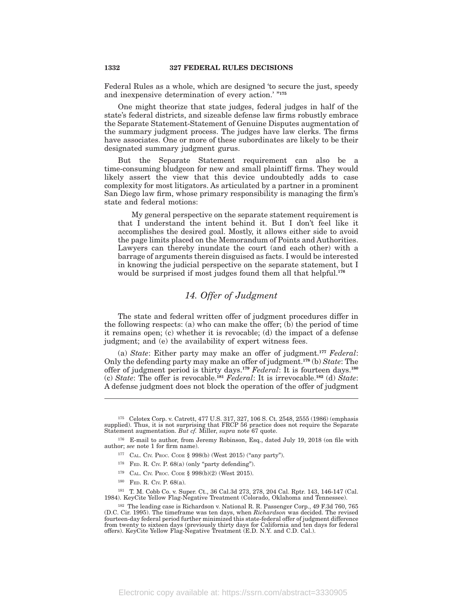Federal Rules as a whole, which are designed 'to secure the just, speedy and inexpensive determination of every action.' ''**<sup>175</sup>**

One might theorize that state judges, federal judges in half of the state's federal districts, and sizeable defense law firms robustly embrace the Separate Statement-Statement of Genuine Disputes augmentation of the summary judgment process. The judges have law clerks. The firms have associates. One or more of these subordinates are likely to be their designated summary judgment gurus.

But the Separate Statement requirement can also be a time-consuming bludgeon for new and small plaintiff firms. They would likely assert the view that this device undoubtedly adds to case complexity for most litigators. As articulated by a partner in a prominent San Diego law firm, whose primary responsibility is managing the firm's state and federal motions:

My general perspective on the separate statement requirement is that I understand the intent behind it. But I don't feel like it accomplishes the desired goal. Mostly, it allows either side to avoid the page limits placed on the Memorandum of Points and Authorities. Lawyers can thereby inundate the court (and each other) with a barrage of arguments therein disguised as facts. I would be interested in knowing the judicial perspective on the separate statement, but I would be surprised if most judges found them all that helpful.**<sup>176</sup>**

# *14. Offer of Judgment*

The state and federal written offer of judgment procedures differ in the following respects: (a) who can make the offer; (b) the period of time it remains open; (c) whether it is revocable; (d) the impact of a defense judgment; and (e) the availability of expert witness fees.

(a) *State*: Either party may make an offer of judgment.**<sup>177</sup>** *Federal*: Only the defending party may make an offer of judgment.**<sup>178</sup>** (b) *State*: The offer of judgment period is thirty days.**<sup>179</sup>** *Federal*: It is fourteen days.**<sup>180</sup>** (c) *State*: The offer is revocable.**<sup>181</sup>** *Federal*: It is irrevocable.**<sup>182</sup>** (d) *State*: A defense judgment does not block the operation of the offer of judgment

- $178$  FED. R. CIV. P. 68(a) (only "party defending").
- <sup>179</sup> CAL. CIV. PROC. CODE § 998(b)(2) (West 2015).
- <sup>180</sup> FED. R. CIV. P. 68(a).

<sup>181</sup> T. M. Cobb Co. v. Super. Ct., 36 Cal.3d 273, 278, 204 Cal. Rptr. 143, 146-147 (Cal. 1984). KeyCite Yellow Flag-Negative Treatment (Colorado, Oklahoma and Tennessee).

<sup>175</sup> Celotex Corp. v. Catrett, 477 U.S. 317, 327, 106 S. Ct. 2548, 2555 (1986) (emphasis supplied). Thus, it is not surprising that FRCP 56 practice does not require the Separate Statement augmentation. *But cf.* Miller, *supra* note 67 quote.

<sup>176</sup> E-mail to author, from Jeremy Robinson, Esq., dated July 19, 2018 (on file with author; *see* note 1 for firm name).

<sup>177</sup> CAL. CIV. PROC. CODE § 998(b) (West 2015) ("any party").

<sup>182</sup> The leading case is Richardson v. National R. R. Passenger Corp., 49 F.3d 760, 765 (D.C. Cir. 1995). The timeframe was ten days, when *Richardson* was decided. The revised fourteen-day federal period further minimized this state-federal offer of judgment difference from twenty to sixteen days (previously thirty days for California and ten days for federal offers). KeyCite Yellow Flag-Negative Treatment (E.D. N.Y. and C.D. Cal.).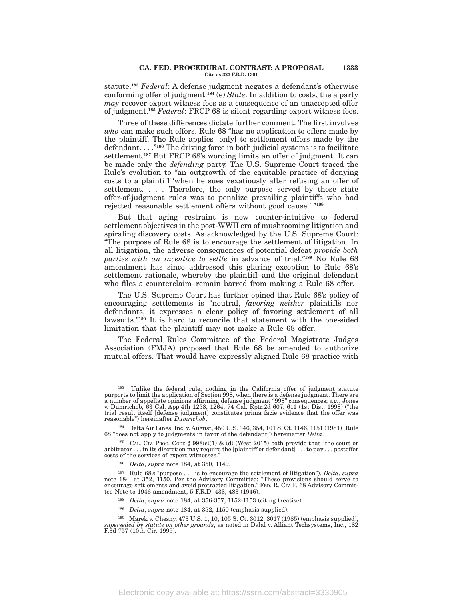#### **CA. FED. PROCEDURAL CONTRAST: A PROPOSAL 1333 Cite as 327 F.R.D. 1301**

statute.**<sup>183</sup>** *Federal*: A defense judgment negates a defendant's otherwise conforming offer of judgment.**<sup>184</sup>** (e) *State*: In addition to costs, the a party *may* recover expert witness fees as a consequence of an unaccepted offer of judgment.**<sup>185</sup>** *Federal*: FRCP 68 is silent regarding expert witness fees.

Three of these differences dictate further comment. The first involves *who* can make such offers. Rule 68 ''has no application to offers made by the plaintiff. The Rule applies [only] to settlement offers made by the defendant. . . .''**<sup>186</sup>** The driving force in both judicial systems is to facilitate settlement.**<sup>187</sup>** But FRCP 68's wording limits an offer of judgment. It can be made only the *defending* party. The U.S. Supreme Court traced the Rule's evolution to "an outgrowth of the equitable practice of denying costs to a plaintiff 'when he sues vexatiously after refusing an offer of settlement. . . . Therefore, the only purpose served by these state offer-of-judgment rules was to penalize prevailing plaintiffs who had rejected reasonable settlement offers without good cause.' ''**<sup>188</sup>**

But that aging restraint is now counter-intuitive to federal settlement objectives in the post-WWII era of mushrooming litigation and spiraling discovery costs. As acknowledged by the U.S. Supreme Court: ''The purpose of Rule 68 is to encourage the settlement of litigation. In all litigation, the adverse consequences of potential defeat *provide both parties with an incentive to settle* in advance of trial.''**<sup>189</sup>** No Rule 68 amendment has since addressed this glaring exception to Rule 68's settlement rationale, whereby the plaintiff–and the original defendant who files a counterclaim–remain barred from making a Rule 68 offer.

The U.S. Supreme Court has further opined that Rule 68's policy of encouraging settlements is ''neutral, *favoring neither* plaintiffs nor defendants; it expresses a clear policy of favoring settlement of all lawsuits.''**<sup>190</sup>** It is hard to reconcile that statement with the one-sided limitation that the plaintiff may not make a Rule 68 offer.

The Federal Rules Committee of the Federal Magistrate Judges Association (FMJA) proposed that Rule 68 be amended to authorize mutual offers. That would have expressly aligned Rule 68 practice with

- <sup>188</sup> *Delta*, *supra* note 184, at 356-357, 1152-1153 (citing treatise).
- <sup>189</sup> *Delta*, *supra* note 184, at 352, 1150 (emphasis supplied).

Electronic copy available at: https://ssrn.com/abstract=3330905

<sup>&</sup>lt;sup>183</sup> Unlike the federal rule, nothing in the California offer of judgment statute purports to limit the application of Section 998, when there is a defense judgment. There are a number of appellate opinions affirming defense judgment ''998'' consequences; *e.g.*, Jones v. Dumrichob, 63 Cal. App.4th 1258, 1264, 74 Cal. Rptr.2d 607, 611 (1st Dist. 1998) (''the trial result itself [defense judgment] constitutes prima facie evidence that the offer was reasonable'') hereinafter *Dumrichob*.

<sup>184</sup> Delta Air Lines, Inc. v. August, 450 U.S. 346, 354, 101 S. Ct. 1146, 1151 (1981) (Rule 68 ''does not apply to judgments in favor of the defendant'') hereinafter *Delta*.

<sup>&</sup>lt;sup>185</sup> CAL. CIV. PROC. CODE § 998(c)(1) & (d) (West 2015) both provide that "the court or arbitrator . . . in its discretion may require the [plaintiff or defendant] . . . to pay . . . postoffer costs of the services of expert witnesses.''

<sup>186</sup> *Delta*, *supra* note 184, at 350, 1149.

<sup>&</sup>lt;sup>187</sup> Rule 68's "purpose . . . is to encourage the settlement of litigation"). *Delta*, *supra* note 184, at 352, 1150. Per the Advisory Committee: "These provisions should serve to encourage settlements and avoid protrac tee Note to 1946 amendment, 5 F.R.D. 433, 483 (1946).

<sup>190</sup> Marek v. Chesny, 473 U.S. 1, 10, 105 S. Ct. 3012, 3017 (1985) (emphasis supplied), *superseded by statute on other grounds*, as noted in Dalal v. Alliant Techsystems, Inc., 182 F.3d 757 (10th Cir. 1999).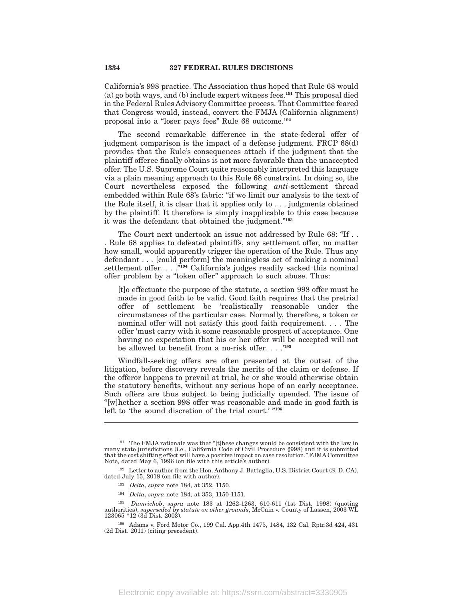California's 998 practice. The Association thus hoped that Rule 68 would (a) go both ways, and (b) include expert witness fees.**<sup>191</sup>** This proposal died in the Federal Rules Advisory Committee process. That Committee feared that Congress would, instead, convert the FMJA (California alignment) proposal into a ''loser pays fees'' Rule 68 outcome.**<sup>192</sup>**

The second remarkable difference in the state-federal offer of judgment comparison is the impact of a defense judgment. FRCP 68(d) provides that the Rule's consequences attach if the judgment that the plaintiff offeree finally obtains is not more favorable than the unaccepted offer. The U.S. Supreme Court quite reasonably interpreted this language via a plain meaning approach to this Rule 68 constraint. In doing so, the Court nevertheless exposed the following *anti*-settlement thread embedded within Rule 68's fabric: ''if we limit our analysis to the text of the Rule itself, it is clear that it applies only to . . . judgments obtained by the plaintiff. It therefore is simply inapplicable to this case because it was the defendant that obtained the judgment.''**<sup>193</sup>**

The Court next undertook an issue not addressed by Rule 68: "If... . Rule 68 applies to defeated plaintiffs, any settlement offer, no matter how small, would apparently trigger the operation of the Rule. Thus any defendant . . . [could perform] the meaningless act of making a nominal settlement offer. . . .<sup>"194</sup> California's judges readily sacked this nominal offer problem by a "token offer" approach to such abuse. Thus:

[t]o effectuate the purpose of the statute, a section 998 offer must be made in good faith to be valid. Good faith requires that the pretrial offer of settlement be 'realistically reasonable under the circumstances of the particular case. Normally, therefore, a token or nominal offer will not satisfy this good faith requirement. . . . The offer 'must carry with it some reasonable prospect of acceptance. One having no expectation that his or her offer will be accepted will not be allowed to benefit from a no-risk offer. . . .'**<sup>195</sup>**

Windfall-seeking offers are often presented at the outset of the litigation, before discovery reveals the merits of the claim or defense. If the offeror happens to prevail at trial, he or she would otherwise obtain the statutory benefits, without any serious hope of an early acceptance. Such offers are thus subject to being judicially upended. The issue of ''[w]hether a section 998 offer was reasonable and made in good faith is left to 'the sound discretion of the trial court.' "<sup>196</sup>

<sup>192</sup> Letter to author from the Hon. Anthony J. Battaglia, U.S. District Court (S. D. CA), dated July 15, 2018 (on file with author).

- <sup>193</sup> *Delta*, *supra* note 184, at 352, 1150.
- <sup>194</sup> *Delta*, *supra* note 184, at 353, 1150-1151.

<sup>191</sup> The FMJA rationale was that ''[t]hese changes would be consistent with the law in many state jurisdictions (i.e., California Code of Civil Procedure §998) and it is submitted that the cost shifting effect will have a positive impact on case resolution.'' FJMA Committee Note, dated May 6, 1996 (on file with this article's author).

<sup>195</sup> *Dumrichob*, *supra* note 183 at 1262-1263, 610-611 (1st Dist. 1998) (quoting authorities), *superseded by statute on other grounds*, McCain v. County of Lassen, 2003 WL 123065 \*12 (3d Dist. 2003).

<sup>196</sup> Adams v. Ford Motor Co., 199 Cal. App.4th 1475, 1484, 132 Cal. Rptr.3d 424, 431 (2d Dist. 2011) (citing precedent).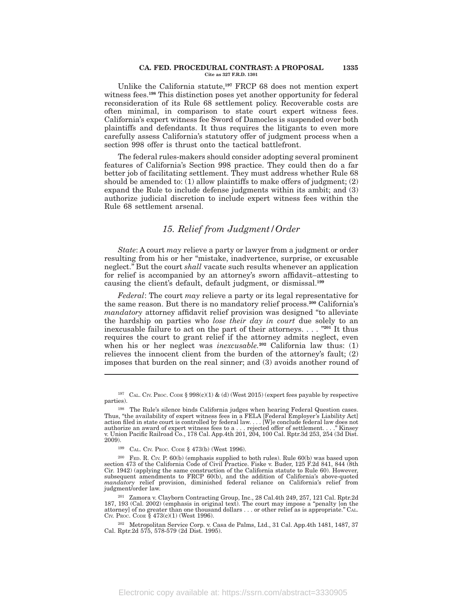#### **CA. FED. PROCEDURAL CONTRAST: A PROPOSAL 1335 Cite as 327 F.R.D. 1301**

Unlike the California statute,**<sup>197</sup>** FRCP 68 does not mention expert witness fees.**<sup>198</sup>** This distinction poses yet another opportunity for federal reconsideration of its Rule 68 settlement policy. Recoverable costs are often minimal, in comparison to state court expert witness fees. California's expert witness fee Sword of Damocles is suspended over both plaintiffs and defendants. It thus requires the litigants to even more carefully assess California's statutory offer of judgment process when a section 998 offer is thrust onto the tactical battlefront.

The federal rules-makers should consider adopting several prominent features of California's Section 998 practice. They could then do a far better job of facilitating settlement. They must address whether Rule 68 should be amended to:  $(1)$  allow plaintiffs to make offers of judgment;  $(2)$ expand the Rule to include defense judgments within its ambit; and (3) authorize judicial discretion to include expert witness fees within the Rule 68 settlement arsenal.

# *15. Relief from Judgment/Order*

*State*: A court *may* relieve a party or lawyer from a judgment or order resulting from his or her ''mistake, inadvertence, surprise, or excusable neglect.'' But the court *shall* vacate such results whenever an application for relief is accompanied by an attorney's sworn affidavit–attesting to causing the client's default, default judgment, or dismissal.**<sup>199</sup>**

*Federal*: The court *may* relieve a party or its legal representative for the same reason. But there is no mandatory relief process.**<sup>200</sup>** California's *mandatory* attorney affidavit relief provision was designed ''to alleviate the hardship on parties who *lose their day in court* due solely to an inexcusable failure to act on the part of their attorneys. . . . ''**<sup>201</sup>** It thus requires the court to grant relief if the attorney admits neglect, even when his or her neglect was *inexcusable.***<sup>202</sup>** California law thus: (1) relieves the innocent client from the burden of the attorney's fault; (2) imposes that burden on the real sinner; and (3) avoids another round of

<sup>&</sup>lt;sup>197</sup> CAL. CIV. PROC. CODE § 998(c)(1) & (d) (West 2015) (expert fees payable by respective parties).

<sup>198</sup> The Rule's silence binds California judges when hearing Federal Question cases. Thus, "the availability of expert witness fees in a FELA [Federal Employer's Liability Act]<br>action filed in state court is controlled by federal law. . . . [W]e conclude federal law does not<br>authorize an award of expert wi v. Union Pacific Railroad Co., 178 Cal. App.4th 201, 204, 100 Cal. Rptr.3d 253, 254 (3d Dist. 2009).

<sup>199</sup> CAL. CIV. PROC. CODE § 473(b) (West 1996).

<sup>200</sup> FED. R. CIV. P. 60(b) (emphasis supplied to both rules). Rule 60(b) was based upon section 473 of the California Code of Civil Practice. Fiske v. Buder, 125 F.2d 841, 844 (8th Cir. 1942) (applying the same construction of the California statute to Rule 60). However, subsequent amendments to FRCP 60(b), and the addition of California's above-quoted *mandatory* relief provision, diminished federal reliance on California's relief from judgment/order law.

<sup>201</sup> Zamora v. Clayborn Contracting Group, Inc., 28 Cal.4th 249, 257, 121 Cal. Rptr.2d 187, 193 (Cal. 2002) (emphasis in original text). The court may impose a ''penalty [on the attorney] of no greater than one thousand dollars . . . or other relief as is appropriate.'' CAL. CIV. PROC. CODE § 473(c)(1) (West 1996).

<sup>202</sup> Metropolitan Service Corp. v. Casa de Palms, Ltd., 31 Cal. App.4th 1481, 1487, 37 Cal. Rptr.2d 575, 578-579 (2d Dist. 1995).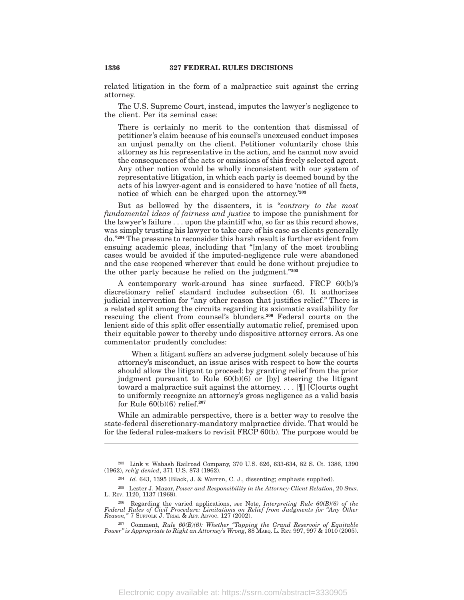related litigation in the form of a malpractice suit against the erring attorney.

The U.S. Supreme Court, instead, imputes the lawyer's negligence to the client. Per its seminal case:

There is certainly no merit to the contention that dismissal of petitioner's claim because of his counsel's unexcused conduct imposes an unjust penalty on the client. Petitioner voluntarily chose this attorney as his representative in the action, and he cannot now avoid the consequences of the acts or omissions of this freely selected agent. Any other notion would be wholly inconsistent with our system of representative litigation, in which each party is deemed bound by the acts of his lawyer-agent and is considered to have 'notice of all facts, notice of which can be charged upon the attorney.'**<sup>203</sup>**

But as bellowed by the dissenters, it is ''*contrary to the most fundamental ideas of fairness and justice* to impose the punishment for the lawyer's failure . . . upon the plaintiff who, so far as this record shows, was simply trusting his lawyer to take care of his case as clients generally do.''**<sup>204</sup>** The pressure to reconsider this harsh result is further evident from ensuing academic pleas, including that ''[m]any of the most troubling cases would be avoided if the imputed-negligence rule were abandoned and the case reopened wherever that could be done without prejudice to the other party because he relied on the judgment.''**<sup>205</sup>**

A contemporary work-around has since surfaced. FRCP 60(b)'s discretionary relief standard includes subsection (6). It authorizes judicial intervention for "any other reason that justifies relief." There is a related split among the circuits regarding its axiomatic availability for rescuing the client from counsel's blunders.**<sup>206</sup>** Federal courts on the lenient side of this split offer essentially automatic relief, premised upon their equitable power to thereby undo dispositive attorney errors. As one commentator prudently concludes:

When a litigant suffers an adverse judgment solely because of his attorney's misconduct, an issue arises with respect to how the courts should allow the litigant to proceed: by granting relief from the prior judgment pursuant to Rule 60(b)(6) or [by] steering the litigant toward a malpractice suit against the attorney. . . . [¶] [C]ourts ought to uniformly recognize an attorney's gross negligence as a valid basis for Rule 60(b)(6) relief.**<sup>207</sup>**

While an admirable perspective, there is a better way to resolve the state-federal discretionary-mandatory malpractice divide. That would be for the federal rules-makers to revisit FRCP 60(b). The purpose would be

<sup>203</sup> Link v. Wabash Railroad Company, 370 U.S. 626, 633-634, 82 S. Ct. 1386, 1390 (1962), *reh'g denied*, 371 U.S. 873 (1962).

<sup>204</sup> *Id.* 643, 1395 (Black, J. & Warren, C. J., dissenting; emphasis supplied).

<sup>&</sup>lt;sup>205</sup> Lester J. Mazor, *Power and Responsibility in the Attorney-Client Relation*, 20 STAN. L. REV. 1120, 1137 (1968).

<sup>206</sup> Regarding the varied applications, *see* Note, *Interpreting Rule 60(B)(6) of the Federal Rules of Civil Procedure: Limitations on Relief from Judgments for ''Any Other Reason,''* 7 SUFFOLK J. TRIAL & APP. ADVOC. 127 (2002).

<sup>207</sup> Comment, *Rule 60(B)(6): Whether ''Tapping the Grand Reservoir of Equitable Power'' is Appropriate to Right an Attorney's Wrong*, 88 MARQ. L. REV. 997, 997 & 1010 (2005).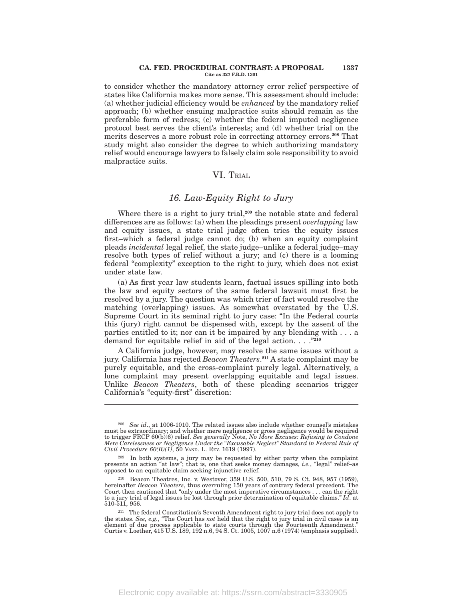#### **CA. FED. PROCEDURAL CONTRAST: A PROPOSAL 1337 Cite as 327 F.R.D. 1301**

to consider whether the mandatory attorney error relief perspective of states like California makes more sense. This assessment should include: (a) whether judicial efficiency would be *enhanced* by the mandatory relief approach; (b) whether ensuing malpractice suits should remain as the preferable form of redress; (c) whether the federal imputed negligence protocol best serves the client's interests; and (d) whether trial on the merits deserves a more robust role in correcting attorney errors.**<sup>208</sup>** That study might also consider the degree to which authorizing mandatory relief would encourage lawyers to falsely claim sole responsibility to avoid malpractice suits.

# VI. TRIAL

### *16. Law-Equity Right to Jury*

Where there is a right to jury trial,**<sup>209</sup>** the notable state and federal differences are as follows: (a) when the pleadings present *overlapping* law and equity issues, a state trial judge often tries the equity issues first–which a federal judge cannot do; (b) when an equity complaint pleads *incidental* legal relief, the state judge–unlike a federal judge–may resolve both types of relief without a jury; and (c) there is a looming federal "complexity" exception to the right to jury, which does not exist under state law.

(a) As first year law students learn, factual issues spilling into both the law and equity sectors of the same federal lawsuit must first be resolved by a jury. The question was which trier of fact would resolve the matching (overlapping) issues. As somewhat overstated by the U.S. Supreme Court in its seminal right to jury case: "In the Federal courts this (jury) right cannot be dispensed with, except by the assent of the parties entitled to it; nor can it be impaired by any blending with . . . a demand for equitable relief in aid of the legal action. . . .''**<sup>210</sup>**

A California judge, however, may resolve the same issues without a jury. California has rejected *Beacon Theaters*. **<sup>211</sup>** A state complaint may be purely equitable, and the cross-complaint purely legal. Alternatively, a lone complaint may present overlapping equitable and legal issues. Unlike *Beacon Theaters*, both of these pleading scenarios trigger California's "equity-first" discretion:

<sup>208</sup> *See id*., at 1006-1010. The related issues also include whether counsel's mistakes must be extraordinary; and whether mere negligence or gross negligence would be required to trigger FRCP 60(b)(6) relief. See generally Note, No More Excuses: Refusing to Condone<br>Mere Carelessness or Negligence Under the "Excusable Neglect" Standard in Federal Rule of<br>Civil Procedure 60(B)(1), 50 VAND. L. REv.

<sup>&</sup>lt;sup>209</sup> In both systems, a jury may be requested by either party when the complaint presents an action "at law"; that is, one that seeks money damages, *i.e.*, "legal" relief-as opposed to an equitable claim seeking injunct

<sup>210</sup> Beacon Theatres, Inc. v. Westover, 359 U.S. 500, 510, 79 S. Ct. 948, 957 (1959), hereinafter *Beacon Theaters*, thus overruling 150 years of contrary federal precedent. The Court then cautioned that ''only under the most imperative circumstances . . . can the right to a jury trial of legal issues be lost through prior determination of equitable claims.'' *Id*. at 510-511, 956.

<sup>211</sup> The federal Constitution's Seventh Amendment right to jury trial does not apply to the states. *See, e.g.*, "The Court has *not* held that the right to jury trial in civil cases is an element of due process applicable to state courts through the Fourteenth Amendment." Curtis v. Loether, 415 U.S. 189, 192 n.6, 94 S. Ct. 1005, 1007 n.6 (1974) (emphasis supplied).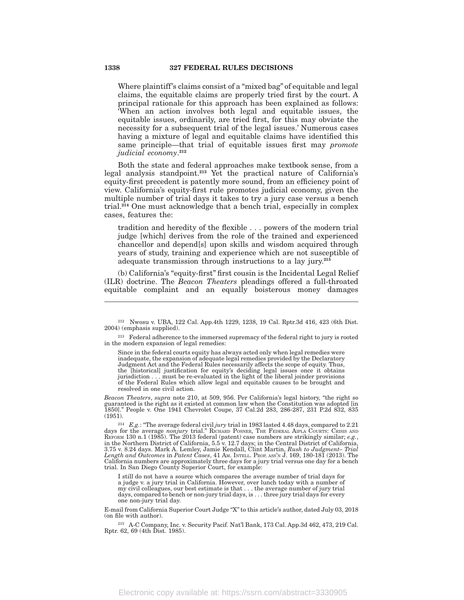Where plaintiff's claims consist of a "mixed bag" of equitable and legal claims, the equitable claims are properly tried first by the court. A principal rationale for this approach has been explained as follows: 'When an action involves both legal and equitable issues, the equitable issues, ordinarily, are tried first, for this may obviate the necessity for a subsequent trial of the legal issues.' Numerous cases having a mixture of legal and equitable claims have identified this same principle—that trial of equitable issues first may *promote judicial economy*. **212**

Both the state and federal approaches make textbook sense, from a legal analysis standpoint.**<sup>213</sup>** Yet the practical nature of California's equity-first precedent is patently more sound, from an efficiency point of view. California's equity-first rule promotes judicial economy, given the multiple number of trial days it takes to try a jury case versus a bench trial.**<sup>214</sup>** One must acknowledge that a bench trial, especially in complex cases, features the:

tradition and heredity of the flexible . . . powers of the modern trial judge [which] derives from the role of the trained and experienced chancellor and depend[s] upon skills and wisdom acquired through years of study, training and experience which are not susceptible of adequate transmission through instructions to a lay jury.**<sup>215</sup>**

(b) California's "equity-first" first cousin is the Incidental Legal Relief (ILR) doctrine. The *Beacon Theaters* pleadings offered a full-throated equitable complaint and an equally boisterous money damages

Since in the federal courts equity has always acted only when legal remedies were inadequate, the expansion of adequate legal remedies provided by the Declaratory Judgment Act and the Federal Rules necessarily affects the scope of equity. Thus, the [historical] justification for equity's deciding legal issues once it obtains jurisdiction . . . must be re-evaluated in the light of the liberal joinder provisions of the Federal Rules which allow legal and equitable causes to be brought and resolved in one civil action.

*Beacon Theaters*, *supra* note 210, at 509, 956. Per California's legal history, ''the right so guaranteed is the right as it existed at common law when the Constitution was adopted [in 1850].'' People v. One 1941 Chevrolet Coupe, 37 Cal.2d 283, 286-287, 231 P.2d 832, 835 (1951).

<sup>214</sup> *E.g.*: "The average federal civil *jury* trial in 1983 lasted 4.48 days, compared to 2.21 days for the average *nonjury* trial." RICHARD POSNER, THE FEDERAL AIPLA COURTS: CRISIS AND REFORM 130 n.1 (1985). The 2013 in the Northern District of California, 5.5 v. 12.7 days; in the Central District of California, 3.75 v. 8.24 days. Mark A. Lemley, Jamie Kendall, Clint Martin, *Rush to Judgment– Trial Length and Outcomes* in *Patent Cases*, 41 AM. INTELL. PROP. ASS'<sup>N</sup> J. 169, 180-181 (2013). The California numbers are approximately three days for a jury trial versus one day for a bench trial. In San Diego County Superior Court, for example:

I still do not have a source which compares the average number of trial days for a judge v. a jury trial in California. However, over lunch today with a number of my civil colleagues, our best estimate is that . . . the average number of jury trial days, compared to bench or non-jury trial days, is . . . three jury trial days for every one non-jury trial day.

E-mail from California Superior Court Judge ''X'' to this article's author, dated July 03, 2018 (on file with author).

<sup>215</sup> A-C Company, Inc. v. Security Pacif. Nat'l Bank, 173 Cal. App.3d 462, 473, 219 Cal. Rptr. 62, 69 (4th Dist. 1985).

<sup>212</sup> Nwosu v. UBA, 122 Cal. App.4th 1229, 1238, 19 Cal. Rptr.3d 416, 423 (6th Dist. 2004) (emphasis supplied).

 $^{213}$  Federal adherence to the immersed supremacy of the federal right to jury is rooted in the modern expansion of legal remedies: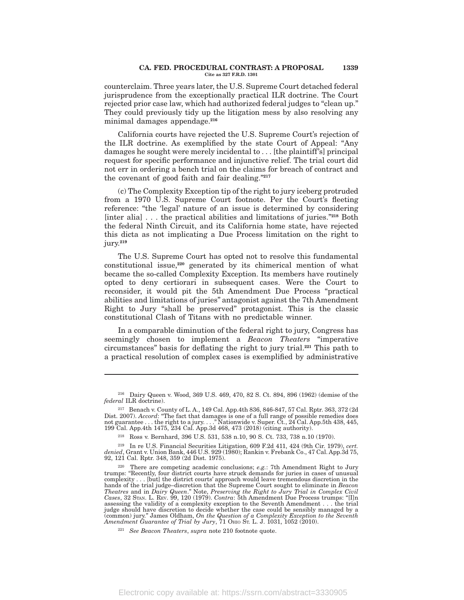#### **CA. FED. PROCEDURAL CONTRAST: A PROPOSAL 1339 Cite as 327 F.R.D. 1301**

counterclaim. Three years later, the U.S. Supreme Court detached federal jurisprudence from the exceptionally practical ILR doctrine. The Court rejected prior case law, which had authorized federal judges to "clean up." They could previously tidy up the litigation mess by also resolving any minimal damages appendage.**<sup>216</sup>**

California courts have rejected the U.S. Supreme Court's rejection of the ILR doctrine. As exemplified by the state Court of Appeal: ''Any damages he sought were merely incidental to . . . [the plaintiff's] principal request for specific performance and injunctive relief. The trial court did not err in ordering a bench trial on the claims for breach of contract and the covenant of good faith and fair dealing.''**<sup>217</sup>**

(c) The Complexity Exception tip of the right to jury iceberg protruded from a 1970 U.S. Supreme Court footnote. Per the Court's fleeting reference: "the 'legal' nature of an issue is determined by considering [inter alia] . . . the practical abilities and limitations of juries.''**<sup>218</sup>** Both the federal Ninth Circuit, and its California home state, have rejected this dicta as not implicating a Due Process limitation on the right to jury.**<sup>219</sup>**

The U.S. Supreme Court has opted not to resolve this fundamental constitutional issue,**<sup>220</sup>** generated by its chimerical mention of what became the so-called Complexity Exception. Its members have routinely opted to deny certiorari in subsequent cases. Were the Court to reconsider, it would pit the 5th Amendment Due Process "practical abilities and limitations of juries'' antagonist against the 7th Amendment Right to Jury ''shall be preserved'' protagonist. This is the classic constitutional Clash of Titans with no predictable winner.

In a comparable diminution of the federal right to jury, Congress has seemingly chosen to implement a *Beacon Theaters* ''imperative circumstances'' basis for deflating the right to jury trial.**<sup>221</sup>** This path to a practical resolution of complex cases is exemplified by administrative

<sup>216</sup> Dairy Queen v. Wood, 369 U.S. 469, 470, 82 S. Ct. 894, 896 (1962) (demise of the *federal* ILR doctrine).

<sup>217</sup> Benach v. County of L. A., 149 Cal. App.4th 836, 846-847, 57 Cal. Rptr. 363, 372 (2d Dist. 2007). *Accord*: ''The fact that damages is one of a full range of possible remedies does not guarantee . . . the right to a jury. . . .'' Nationwide v. Super. Ct., 24 Cal. App.5th 438, 445, 199 Cal. App.4th 1475, 234 Cal. App.3d 468, 473 (2018) (citing authority).

<sup>218</sup> Ross v. Bernhard, 396 U.S. 531, 538 n.10, 90 S. Ct. 733, 738 n.10 (1970).

<sup>219</sup> In re U.S. Financial Securities Litigation, 609 F.2d 411, 424 (9th Cir. 1979), *cert. denied*, Grant v. Union Bank, 446 U.S. 929 (1980); Rankin v. Frebank Co., 47 Cal. App.3d 75, 92, 121 Cal. Rptr. 348, 359 (2d Dist. 1975).

<sup>&</sup>lt;sup>220</sup> There are competing academic conclusions; *e.g.*: 7th Amendment Right to Jury trumps: ''Recently, four district courts have struck demands for juries in cases of unusual complexity . . . [but] the district courts' approach would leave tremendous discretion in the hands of the trial judge–discretion that the Supreme Court sought to eliminate in *Beacon*<br>*Theatres* and in *Dairy Queen.*" Note, Preserving the Right to Jury Trial in Complex Civil<br>Cases, 32 SmA. L. Rev. 99, 120 (1979). assessing the validity of a complexity exception to the Seventh Amendment . . . the trial judge should have discretion to decide whether the case could be sensibly managed by a (common) jury.'' James Oldham, *On the Question of a Complexity Exception to the Seventh* Amendment Guarantee of Trial by Jury, 71 O<sub>HIO</sub> Sr. L. J. 1031, 1052 (2010).

<sup>221</sup> *See Beacon Theaters*, *supra* note 210 footnote quote.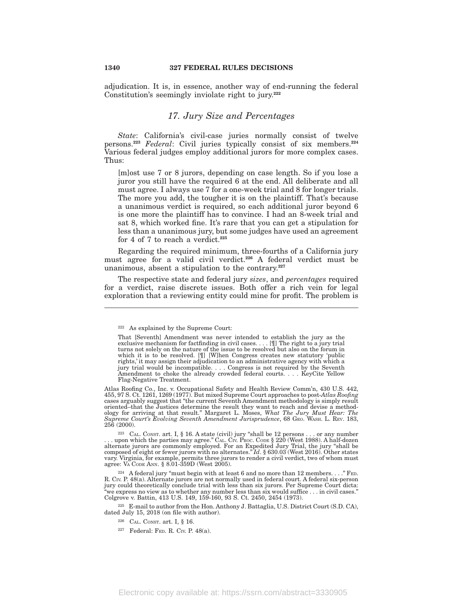adjudication. It is, in essence, another way of end-running the federal Constitution's seemingly inviolate right to jury.**<sup>222</sup>**

### *17. Jury Size and Percentages*

*State*: California's civil-case juries normally consist of twelve persons.**<sup>223</sup>** *Federal*: Civil juries typically consist of six members.**<sup>224</sup>** Various federal judges employ additional jurors for more complex cases. Thus:

[m]ost use 7 or 8 jurors, depending on case length. So if you lose a juror you still have the required 6 at the end. All deliberate and all must agree. I always use 7 for a one-week trial and 8 for longer trials. The more you add, the tougher it is on the plaintiff. That's because a unanimous verdict is required, so each additional juror beyond 6 is one more the plaintiff has to convince. I had an 8-week trial and sat 8, which worked fine. It's rare that you can get a stipulation for less than a unanimous jury, but some judges have used an agreement for 4 of 7 to reach a verdict.**<sup>225</sup>**

Regarding the required minimum, three-fourths of a California jury must agree for a valid civil verdict.**<sup>226</sup>** A federal verdict must be unanimous, absent a stipulation to the contrary.**<sup>227</sup>**

The respective state and federal jury *sizes*, and *percentages* required for a verdict, raise discrete issues. Both offer a rich vein for legal exploration that a reviewing entity could mine for profit. The problem is

<sup>222</sup> As explained by the Supreme Court:

That [Seventh] Amendment was never intended to establish the jury as the exclusive mechanism for factfinding in civil cases.  $\ldots$  [ $\parallel$ ] The right to a jury trial turns not solely on the nature of the issue to be resolved but also on the forum in which it is to be resolved. [¶] [W]hen Congress creates new statutory 'public rights,' it may assign their adjudication to an administrative agency with which a jury trial would be incompatible. . . . Congress is not required by the Seventh Amendment to choke the already crowded federal courts. . . . KeyCite Yellow Flag-Negative Treatment.

Atlas Roofing Co., Inc. v. Occupational Safety and Health Review Comm'n, 430 U.S. 442, 455, 97 S. Ct. 1261, 1269 (1977). But mixed Supreme Court approaches to post-*Atlas Roofing* cases arguably suggest that "the current Seventh Amendment methodology is simply result oriented–that the Justices determine the result they want to reach and devise a method-<br>ology for arriving at that result." Margaret L. Moses, What The Jury Must Hear: The<br>Supreme Court's Evolving Seventh Amendment Jurispr 256 (2000).

<sup>&</sup>lt;sup>223</sup> CAL. Consr. art. I, § 16. A state (civil) jury "shall be 12 persons . . . or any number . . . upon which the parties may agree." CAL. C<sub>IV</sub>. Proc. Cons § 220 (West 1988). A half-dozen alternate jurors are commonly e composed of eight or fewer jurors with no alternates." Id. § 630.03 (West 2016). Other states<br>vary. Virginia, for example, permits three jurors to render a civil verdict, two of whom must<br>agree: VA Code Ann. § 8.01-359D (W

<sup>&</sup>lt;sup>224</sup> A federal jury "must begin with at least 6 and no more than 12 members. . . . " FED.<br>R. CIV. P. 48(a). Alternate jurors are not normally used in federal court. A federal six-person jury could theoretically conclude trial with less than six jurors. Per Supreme Court dicta: ''we express no view as to whether any number less than six would suffice . . . in civil cases.'' Colgrove v. Battin, 413 U.S. 149, 159-160, 93 S. Ct. 2450, 2454 (1973).

 $225$  E-mail to author from the Hon. Anthony J. Battaglia, U.S. District Court (S.D. CA), dated July 15, 2018 (on file with author).

<sup>226</sup> CAL. CONST. art. I, § 16.

<sup>227</sup> Federal: FED. R. CIV. P. 48(a).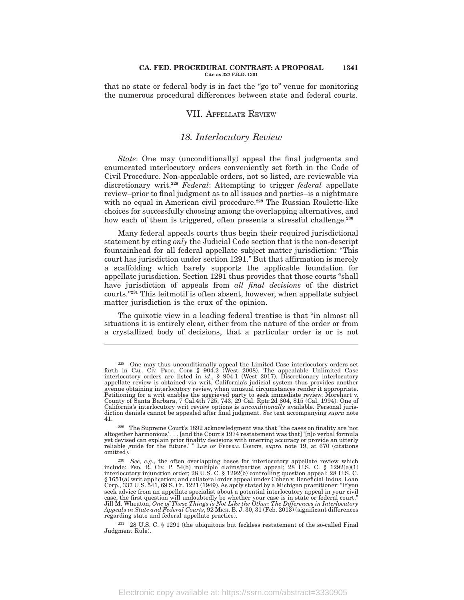#### **CA. FED. PROCEDURAL CONTRAST: A PROPOSAL 1341 Cite as 327 F.R.D. 1301**

that no state or federal body is in fact the "go to" venue for monitoring the numerous procedural differences between state and federal courts.

### VII. APPELLATE REVIEW

### *18. Interlocutory Review*

*State*: One may (unconditionally) appeal the final judgments and enumerated interlocutory orders conveniently set forth in the Code of Civil Procedure. Non-appealable orders, not so listed, are reviewable via discretionary writ.**<sup>228</sup>** *Federal*: Attempting to trigger *federal* appellate review–prior to final judgment as to all issues and parties–is a nightmare with no equal in American civil procedure.**<sup>229</sup>** The Russian Roulette-like choices for successfully choosing among the overlapping alternatives, and how each of them is triggered, often presents a stressful challenge.**<sup>230</sup>**

Many federal appeals courts thus begin their required jurisdictional statement by citing *only* the Judicial Code section that is the non-descript fountainhead for all federal appellate subject matter jurisdiction: ''This court has jurisdiction under section 1291.'' But that affirmation is merely a scaffolding which barely supports the applicable foundation for appellate jurisdiction. Section 1291 thus provides that those courts ''shall have jurisdiction of appeals from *all final decisions* of the district courts.''**<sup>231</sup>** This leitmotif is often absent, however, when appellate subject matter jurisdiction is the crux of the opinion.

The quixotic view in a leading federal treatise is that "in almost all situations it is entirely clear, either from the nature of the order or from a crystallized body of decisions, that a particular order is or is not

<sup>&</sup>lt;sup>228</sup> One may thus unconditionally appeal the Limited Case interlocutory orders set forth in CAL. CIV. PROC. CODE § 904.2 (West 2008). The appealable Unlimited Case interlocutory orders are listed in *id.*, § 904.1 (West avenue obtaining interlocutory review, when unusual circumstances render it appropriate. Petitioning for a writ enables the aggrieved party to seek immediate review. Morehart v. County of Santa Barbara, 7 Cal.4th 725, 743, 29 Cal. Rptr.2d 804, 815 (Cal. 1994). One of California's interlocutory writ review options is *unconditionally* available. Personal juris-diction denials cannot be appealed after final judgment. *See* text accompanying *supra* note 41.

<sup>229</sup> The Supreme Court's 1892 acknowledgment was that ''the cases on finality are 'not altogether harmonious' . . . [and the Court's 1974 restatement was that] '[n]o verbal formula yet devised can explain prior finality decisions with unerring accuracy or provide an utterly reliable guide for the future.' '' LAW OF FEDERAL COURTS, *supra* note 19, at 670 (citations omitted).

<sup>&</sup>lt;sup>230</sup> *See, e.g.*, the often overlapping bases for interlocutory appellate review which include: FED. R. Clv. P. 54(b) multiple claims/parties appeal; 28 U.S. C. § 1292(a)(1) interlocutory injunction order; 28 U.S. C. § 1 § 1651(a) writ application; and collateral order appeal under Cohen v. Beneficial Indus. Loan Corp., 337 U.S. 541, 69 S. Ct. 1221 (1949). As aptly stated by a Michigan practitioner: ''If you seek advice from an appellate specialist about a potential interlocutory appeal in your civil case, the first question will undoubtedly be whether your case is in state or federal court.'' Jill M. Wheaton, *One of These Things is Not Like the Other: The Differences in Interlocutory Appeals in State and Federal Courts*, 92 MICH. B. J. 30, 31 (Feb. 2013) (significant differences regarding state and federal appellate practice).

<sup>231</sup> 28 U.S. C. § 1291 (the ubiquitous but feckless restatement of the so-called Final Judgment Rule).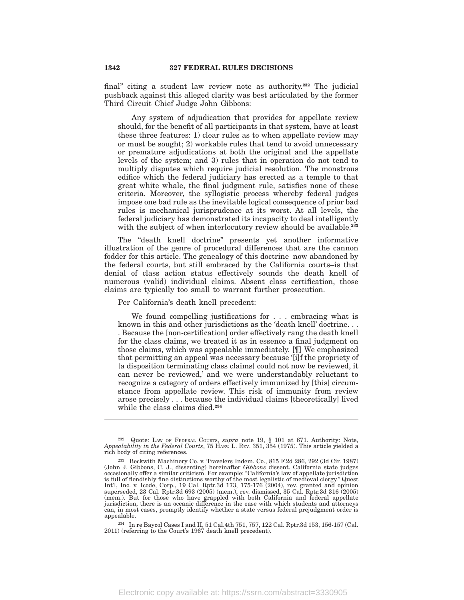final''–citing a student law review note as authority.**<sup>232</sup>** The judicial pushback against this alleged clarity was best articulated by the former Third Circuit Chief Judge John Gibbons:

Any system of adjudication that provides for appellate review should, for the benefit of all participants in that system, have at least these three features: 1) clear rules as to when appellate review may or must be sought; 2) workable rules that tend to avoid unnecessary or premature adjudications at both the original and the appellate levels of the system; and 3) rules that in operation do not tend to multiply disputes which require judicial resolution. The monstrous edifice which the federal judiciary has erected as a temple to that great white whale, the final judgment rule, satisfies none of these criteria. Moreover, the syllogistic process whereby federal judges impose one bad rule as the inevitable logical consequence of prior bad rules is mechanical jurisprudence at its worst. At all levels, the federal judiciary has demonstrated its incapacity to deal intelligently with the subject of when interlocutory review should be available.**<sup>233</sup>**

The "death knell doctrine" presents yet another informative illustration of the genre of procedural differences that are the cannon fodder for this article. The genealogy of this doctrine–now abandoned by the federal courts, but still embraced by the California courts–is that denial of class action status effectively sounds the death knell of numerous (valid) individual claims. Absent class certification, those claims are typically too small to warrant further prosecution.

Per California's death knell precedent:

We found compelling justifications for . . . embracing what is known in this and other jurisdictions as the 'death knell' doctrine. . . . Because the [non-certification] order effectively rang the death knell for the class claims, we treated it as in essence a final judgment on those claims, which was appealable immediately. [¶] We emphasized that permitting an appeal was necessary because '[i]f the propriety of [a disposition terminating class claims] could not now be reviewed, it can never be reviewed,' and we were understandably reluctant to recognize a category of orders effectively immunized by [this] circumstance from appellate review. This risk of immunity from review arose precisely . . . because the individual claims [theoretically] lived while the class claims died.**<sup>234</sup>**

<sup>232</sup> Quote: LAW OF FEDERAL COURTS, *supra* note 19, § 101 at 671. Authority: Note, *Appealability in the Federal Courts*, 75 HARV. L. REV. 351, 354 (1975). This article yielded a rich body of citing references.

<sup>233</sup> Beckwith Machinery Co. v. Travelers Indem. Co., 815 F.2d 286, 292 (3d Cir. 1987) (John J. Gibbons, C. J., dissenting) hereinafter *Gibbons* dissent. California state judges occasionally offer a similar criticism. For example: ''California's law of appellate jurisdiction is full of fiendishly fine distinctions worthy of the most legalistic of medieval clergy.'' Quest Int'l, Inc. v. Icode, Corp., 19 Cal. Rptr.3d 173, 175-176 (2004), rev. granted and opinion superseded, 23 Cal. Rptr.3d 693 (2005) (mem.), rev. dismissed, 35 Cal. Rptr.3d 316 (2005) (mem.). But for those who have grappled with both California and federal appellate jurisdiction, there is an oceanic difference in the ease with which students and attorneys can, in most cases, promptly identify whether a state versus federal prejudgment order is appealable.

<sup>234</sup> In re Baycol Cases I and II, 51 Cal.4th 751, 757, 122 Cal. Rptr.3d 153, 156-157 (Cal. 2011) (referring to the Court's 1967 death knell precedent).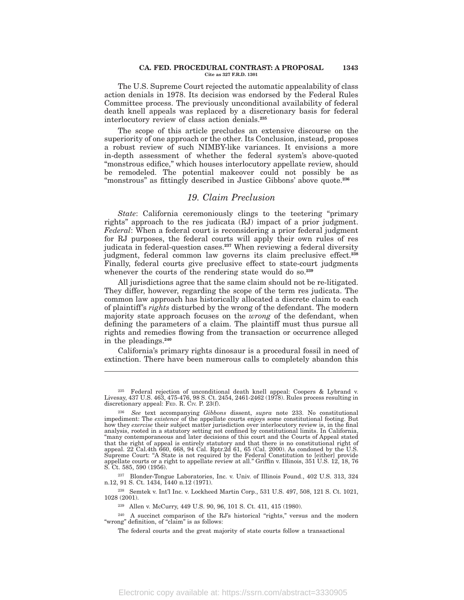#### **CA. FED. PROCEDURAL CONTRAST: A PROPOSAL 1343 Cite as 327 F.R.D. 1301**

The U.S. Supreme Court rejected the automatic appealability of class action denials in 1978. Its decision was endorsed by the Federal Rules Committee process. The previously unconditional availability of federal death knell appeals was replaced by a discretionary basis for federal interlocutory review of class action denials.**<sup>235</sup>**

The scope of this article precludes an extensive discourse on the superiority of one approach or the other. Its Conclusion, instead, proposes a robust review of such NIMBY-like variances. It envisions a more in-depth assessment of whether the federal system's above-quoted ''monstrous edifice,'' which houses interlocutory appellate review, should be remodeled. The potential makeover could not possibly be as ''monstrous'' as fittingly described in Justice Gibbons' above quote.**<sup>236</sup>**

# *19. Claim Preclusion*

*State*: California ceremoniously clings to the teetering "primary rights'' approach to the res judicata (RJ) impact of a prior judgment. *Federal*: When a federal court is reconsidering a prior federal judgment for RJ purposes, the federal courts will apply their own rules of res judicata in federal-question cases.**<sup>237</sup>** When reviewing a federal diversity judgment, federal common law governs its claim preclusive effect.**<sup>238</sup>** Finally, federal courts give preclusive effect to state-court judgments whenever the courts of the rendering state would do so.**<sup>239</sup>**

All jurisdictions agree that the same claim should not be re-litigated. They differ, however, regarding the scope of the term res judicata. The common law approach has historically allocated a discrete claim to each of plaintiff's *rights* disturbed by the wrong of the defendant. The modern majority state approach focuses on the *wrong* of the defendant, when defining the parameters of a claim. The plaintiff must thus pursue all rights and remedies flowing from the transaction or occurrence alleged in the pleadings.**<sup>240</sup>**

California's primary rights dinosaur is a procedural fossil in need of extinction. There have been numerous calls to completely abandon this

<sup>237</sup> Blonder-Tongue Laboratories, Inc. v. Univ. of Illinois Found., 402 U.S. 313, 324 n.12, 91 S. Ct. 1434, 1440 n.12 (1971).

<sup>238</sup> Semtek v. Int'l Inc. v. Lockheed Martin Corp., 531 U.S. 497, 508, 121 S. Ct. 1021, 1028 (2001).

<sup>239</sup> Allen v. McCurry, 449 U.S. 90, 96, 101 S. Ct. 411, 415 (1980).

<sup>235</sup> Federal rejection of unconditional death knell appeal: Coopers & Lybrand v. Livesay, 437 U.S. 463, 475-476, 98 S. Ct. 2454, 2461-2462 (1978). Rules process resulting in discretionary appeal: FED. R. CIV. P. 23(f).

<sup>236</sup> *See* text accompanying *Gibbons* dissent, *supra* note 233. No constitutional impediment: The *existence* of the appellate courts enjoys some constitutional footing. But how they *exercise* their subject matter jurisdiction over interlocutory review is, in the final analysis, rooted in a statutory setting not confined by constitutional limits. In California, ''many contemporaneous and later decisions of this court and the Courts of Appeal stated that the right of appeal is entirely statutory and that there is no constitutional right of appeal. 22 Cal.4th 660, 668, 94 Cal. Rptr.2d 61, 65 (Cal. 2000). As condoned by the U.S. Supreme Court: "A State is not required by the Federal Constitution to [either] provide appellate courts or a right to appellate review at all.'' Griffin v. Illinois, 351 U.S. 12, 18, 76 S. Ct. 585, 590 (1956).

<sup>&</sup>lt;sup>240</sup> A succinct comparison of the RJ's historical "rights," versus and the modern "wrong" definition, of "claim" is as follows:

The federal courts and the great majority of state courts follow a transactional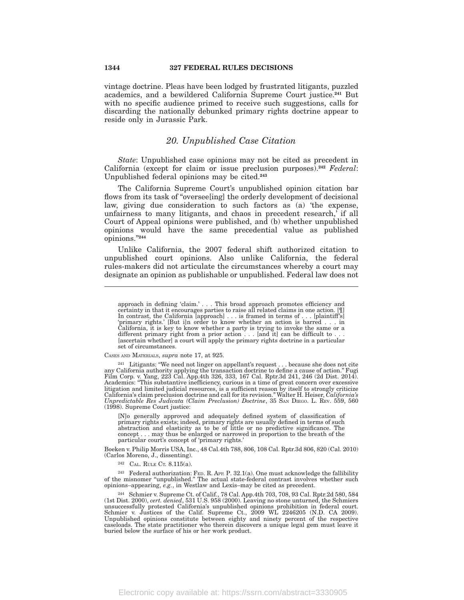vintage doctrine. Pleas have been lodged by frustrated litigants, puzzled academics, and a bewildered California Supreme Court justice.**<sup>241</sup>** But with no specific audience primed to receive such suggestions, calls for discarding the nationally debunked primary rights doctrine appear to reside only in Jurassic Park.

### *20. Unpublished Case Citation*

*State*: Unpublished case opinions may not be cited as precedent in California (except for claim or issue preclusion purposes).**<sup>242</sup>** *Federal*: Unpublished federal opinions may be cited.**<sup>243</sup>**

The California Supreme Court's unpublished opinion citation bar flows from its task of "oversee[ing] the orderly development of decisional law, giving due consideration to such factors as (a) 'the expense, unfairness to many litigants, and chaos in precedent research,' if all Court of Appeal opinions were published, and (b) whether unpublished opinions would have the same precedential value as published opinions.''**<sup>244</sup>**

Unlike California, the 2007 federal shift authorized citation to unpublished court opinions. Also unlike California, the federal rules-makers did not articulate the circumstances whereby a court may designate an opinion as publishable or unpublished. Federal law does not

#### CASES AND MATERIALS, *supra* note 17, at 925.

[N]o generally approved and adequately defined system of classification of primary rights exists; indeed, primary rights are usually defined in terms of such abstraction and elasticity as to be of little or no predictive significance. The concept . . . may thus be enlarged or narrowed in proportion to the breath of the particular court's concept of 'primary rights.'

Boeken v. Philip Morris USA, Inc., 48 Cal.4th 788, 806, 108 Cal. Rptr.3d 806, 820 (Cal. 2010) (Carlos Moreno, J., dissenting).

 $242$  CAL. RULE CT. 8.115(a).

<sup>243</sup> Federal authorization: FED. R. APP. P. 32.1(a). One must acknowledge the fallibility of the misnomer "unpublished." The actual state-federal contrast involves whether such opinions–appearing, *e.g.*, in Westlaw and Lexis–may be cited as precedent.

<sup>244</sup> Schmier v. Supreme Ct. of Calif., 78 Cal. App.4th 703, 708, 93 Cal. Rptr.2d 580, 584 (1st Dist. 2000), *cert. denied*, 531 U.S. 958 (2000). Leaving no stone unturned, the Schmiers unsuccessfully protested California's unpublished opinions prohibition in federal court. Schmier v. Justices of the Calif. Supreme Ct., 2009 WL 2246205 (N.D. CA 2009). Unpublished opinions constitute between eighty and ninety percent of the respective caseloads. The state practitioner who therein discovers a unique legal gem must leave it buried below the surface of his or her work product.

approach in defining 'claim.' . . . This broad approach promotes efficiency and certainty in that it encourages parties to raise all related claims in one action. [¶] In contrast, the California [approach] . . . is framed in terms of . . . [plaintiff's] 'primary rights.' [But i]n order to know whether an action is barred . . . in California, it is key to know whether a party is trying [ascertain whether] a court will apply the primary rights doctrine in a particular set of circumstances.

 $^{241}$  Litigants: "We need not linger on appellant's request . . . because she does not cite<br>any California authority applying the transaction doctrine to define a cause of action." Fugi<br>Film Corp. v. Yang, 223 Cal. App. litigation and limited judicial resources, is a sufficient reason by itself to strongly criticize California's claim preclusion doctrine and call for its revision.'' Walter H. Heiser, *California's Unpredictable Res Judicata (Claim Preclusion) Doctrine*, 35 SAN DIEGO. L. REV. 559, 560 (1998). Supreme Court justice: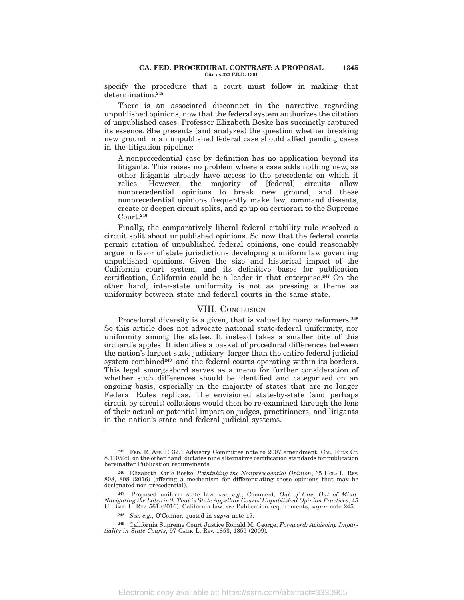specify the procedure that a court must follow in making that determination.**<sup>245</sup>**

There is an associated disconnect in the narrative regarding unpublished opinions, now that the federal system authorizes the citation of unpublished cases. Professor Elizabeth Beske has succinctly captured its essence. She presents (and analyzes) the question whether breaking new ground in an unpublished federal case should affect pending cases in the litigation pipeline:

A nonprecedential case by definition has no application beyond its litigants. This raises no problem where a case adds nothing new, as other litigants already have access to the precedents on which it relies. However, the majority of [federal] circuits allow nonprecedential opinions to break new ground, and these nonprecedential opinions frequently make law, command dissents, create or deepen circuit splits, and go up on certiorari to the Supreme Court.**<sup>246</sup>**

Finally, the comparatively liberal federal citability rule resolved a circuit split about unpublished opinions. So now that the federal courts permit citation of unpublished federal opinions, one could reasonably argue in favor of state jurisdictions developing a uniform law governing unpublished opinions. Given the size and historical impact of the California court system, and its definitive bases for publication certification, California could be a leader in that enterprise.**<sup>247</sup>** On the other hand, inter-state uniformity is not as pressing a theme as uniformity between state and federal courts in the same state.

### VIII. CONCLUSION

Procedural diversity is a given, that is valued by many reformers.**<sup>248</sup>** So this article does not advocate national state-federal uniformity, nor uniformity among the states. It instead takes a smaller bite of this orchard's apples. It identifies a basket of procedural differences between the nation's largest state judiciary–larger than the entire federal judicial system combined<sup>249</sup>–and the federal courts operating within its borders. This legal smorgasbord serves as a menu for further consideration of whether such differences should be identified and categorized on an ongoing basis, especially in the majority of states that are no longer Federal Rules replicas. The envisioned state-by-state (and perhaps circuit by circuit) collations would then be re-examined through the lens of their actual or potential impact on judges, practitioners, and litigants in the nation's state and federal judicial systems.

<sup>&</sup>lt;sup>245</sup> FED. R. APP. P. 32.1 Advisory Committee note to 2007 amendment. CAL. RULE CT.  $8.1105(c)$ , on the other hand, dictates nine alternative certification standards for publication hereinafter Publication requirements.

<sup>246</sup> Elizabeth Earle Beske, *Rethinking the Nonprecedential Opinion*, 65 UCLA L. REV. 808, 808 (2016) (offering a mechanism for differentiating those opinions that may be designated non-precedential).

<sup>&</sup>lt;sup>247</sup> Proposed uniform state law: *see, e.g.*, Comment, *Out of Cite, Out of Mind:*<br>*Navigating the Labyrinth That is State Appellate Courts' Unpublished Opinion Practices*, 45<br>U. BALT. L. REV. 561 (2016). California law:

<sup>248</sup> *See, e.g.*, O'Connor, quoted in *supra* note 17.

<sup>249</sup> California Supreme Court Justice Ronald M. George, *Foreword: Achieving Impartiality in State Courts*, 97 CALIF. L. REV. 1853, 1855 (2009)*.*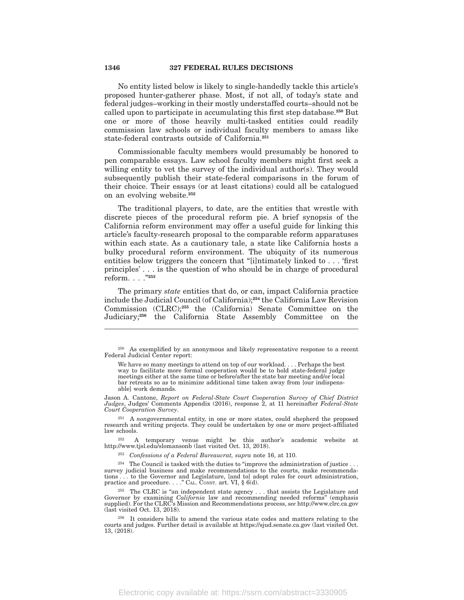No entity listed below is likely to single-handedly tackle this article's proposed hunter-gatherer phase. Most, if not all, of today's state and federal judges–working in their mostly understaffed courts–should not be called upon to participate in accumulating this first step database.**<sup>250</sup>** But one or more of those heavily multi-tasked entities could readily commission law schools or individual faculty members to amass like state-federal contrasts outside of California.**<sup>251</sup>**

Commissionable faculty members would presumably be honored to pen comparable essays. Law school faculty members might first seek a willing entity to vet the survey of the individual author(s). They would subsequently publish their state-federal comparisons in the forum of their choice. Their essays (or at least citations) could all be catalogued on an evolving website.**<sup>252</sup>**

The traditional players, to date, are the entities that wrestle with discrete pieces of the procedural reform pie. A brief synopsis of the California reform environment may offer a useful guide for linking this article's faculty-research proposal to the comparable reform apparatuses within each state. As a cautionary tale, a state like California hosts a bulky procedural reform environment. The ubiquity of its numerous entities below triggers the concern that "[i]ntimately linked to . . . 'first principles' . . . is the question of who should be in charge of procedural reform. . . .''**<sup>253</sup>**

The primary *state* entities that do, or can, impact California practice include the Judicial Council (of California);**<sup>254</sup>** the California Law Revision Commission (CLRC);**<sup>255</sup>** the (California) Senate Committee on the Judiciary;**<sup>256</sup>** the California State Assembly Committee on the

We have so many meetings to attend on top of our workload. . . . Perhaps the best way to facilitate more formal cooperation would be to hold state-federal judge meetings either at the same time or before/after the state bar meeting and/or local bar retreats so as to minimize additional time taken away from [our indispensable] work demands.

Jason A. Cantone, *Report on Federal-State Court Cooperation Survey of Chief District Judges*, Judges' Comments Appendix (2016), response 2, at 11 hereinafter *Federal-State Court Cooperation Survey*.

<sup>251</sup> A *non*governmental entity, in one or more states, could shepherd the proposed research and writing projects. They could be undertaken by one or more project-affiliated law schools.

<sup>252</sup> A temporary venue might be this author's academic website at http://www.tjsl.edu/slomansonb (last visited Oct. 13, 2018).

<sup>253</sup> *Confessions of a Federal Bureaucrat, supra* note 16, at 110.

 $254$  The Council is tasked with the duties to "improve the administration of justice . survey judicial business and make recommendations to the courts, make recommendations . . . to the Governor and Legislature, [and to] adopt rules for court administration, practice and procedure. . . . " CAL. CONST. art. VI, § 6(d).

 $^{255}$  The CLRC is "an independent state agency  $\dots$  that assists the Legislature and Governor by examining *California* law and recommending needed reforms'' (emphasis supplied). For the CLRC's Mission and Recommendations process, *see* http://www.clrc.ca.gov (last visited Oct. 13, 2018).

<sup>256</sup> It considers bills to amend the various state codes and matters relating to the courts and judges. Further detail is available at https://sjud.senate.ca.gov (last visited Oct. 13, (2018).

<sup>250</sup> As exemplified by an anonymous and likely representative response to a recent Federal Judicial Center report: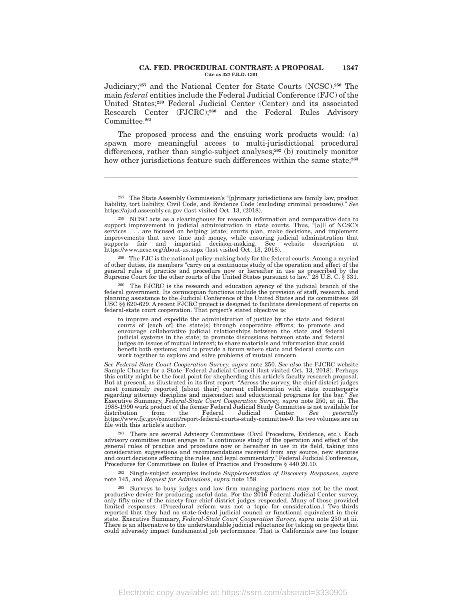#### **CA. FED. PROCEDURAL CONTRAST: A PROPOSAL 1347 Cite as 327 F.R.D. 1301**

Judiciary;**<sup>257</sup>** and the National Center for State Courts (NCSC).**<sup>258</sup>** The main *federal* entities include the Federal Judicial Conference (FJC) of the United States;**<sup>259</sup>** Federal Judicial Center (Center) and its associated Research Center (FJCRC);**<sup>260</sup>** and the Federal Rules Advisory Committee.**<sup>261</sup>**

The proposed process and the ensuing work products would: (a) spawn more meaningful access to multi-jurisdictional procedural differences, rather than single-subject analyses;**<sup>262</sup>** (b) routinely monitor how other jurisdictions feature such differences within the same state;**<sup>263</sup>**

<sup>259</sup> The FJC is the national policy-making body for the federal courts. Among a myriad of other duties, its members ''carry on a continuous study of the operation and effect of the general rules of practice and procedure now or hereafter in use as prescribed by the Supreme Court for the other courts of the United States pursuant to law.'' 28 U.S. C. § 331.

<sup>260</sup> The FJCRC is the research and education agency of the judicial branch of the federal government. Its cornucopian functions include the provision of staff, research, and<br>planning assistance to the Judicial Conference of the United States and its committees. 28<br>USC §§ 620-629. A recent FJCRC project

to improve and expedite the administration of justice by the state and federal courts of [each of] the state[s] through cooperative efforts; to promote and encourage collaborative judicial relationships between the state and federal judicial systems in the state; to promote discussions between state and federal judges on issues of mutual interest; to share materials and information that could benefit both systems; and to provide a forum where state and federal courts can work together to explore and solve problems of mutual concern.

*See Federal-State Court Cooperation Survey, supra* note 250. *See also* the FJCRC website Sample Charter for a State–Federal Judicial Council (last visited Oct. 13, 2018). Perhaps this entity might be the focal point for shepherding this article's faculty research proposal. But at present, as illustrated in its first report: ''Across the survey, the chief district judges most commonly reported [about their] current collaboration with state counterparts regarding attorney discipline and misconduct and educational programs for the bar.'' *See* Executive Summary, *Federal-State Court Cooperation Survey, supra* note 250, at iii. The<br>1988-1990 work product of the former Federal Judicial Study Committee is not available for<br>distribution from the Federal Judicial Cen https://www.fjc.gov/content/report-federal-courts-study-committee-0. Its two volumes are on file with this article's author.

 $^{261}$  There are several Advisory Committees (Civil Procedure, Evidence, etc.). Each advisory committee must engage in "a continuous study of the operation and effect of the general rules of practice and procedure now or consideration suggestions and recommendations received from any source, new statutes and court decisions affecting the rules, and legal commentary.'' Federal Judicial Conference, Procedures for Committees on Rules of Practice and Procedure § 440.20.10.

<sup>262</sup> Single-subject examples include *Supplementation of Discovery Responses*, *supra* note 145, and *Request for Admissions*, *supra* note 158.

<sup>263</sup> Surveys to busy judges and law firm managing partners may not be the most productive device for producing useful data. For the 2016 Federal Judicial Center survey, only fifty-nine of the ninety-four chief district judges responded. Many of those provided limited responses. (Procedural reform was not a topic for consideration.) Two-thirds reported that they had no state-federal judicial council or functional equivalent in their state. Executive Summary, *Federal-State Court Cooperation Survey, supra* note 250 at iii. There is an alternative to the understandable judicial reluctance for taking on projects that could adversely impact fundamental job performance. That is California's new (no longer

<sup>&</sup>lt;sup>257</sup> The State Assembly Commission's "[p]rimary jurisdictions are family law, product liability, tort liability, Civil Code, and Evidence Code (excluding criminal procedure)." See https://ajud.assembly.ca.gov (last visit

<sup>258</sup> NCSC acts as a clearinghouse for research information and comparative data to support improvement in judicial administration in state courts. Thus, <sup>a</sup>[a]ll of NCSC's services . . . are focused on helping [state] courts plan, make decisions, and implement improvements that save time and money, while ensuring judicial administration that supports fair and impartial decision-making. See website description at https://www.ncsc.org/About-us.aspx (last visited Oct. 13, 2018).